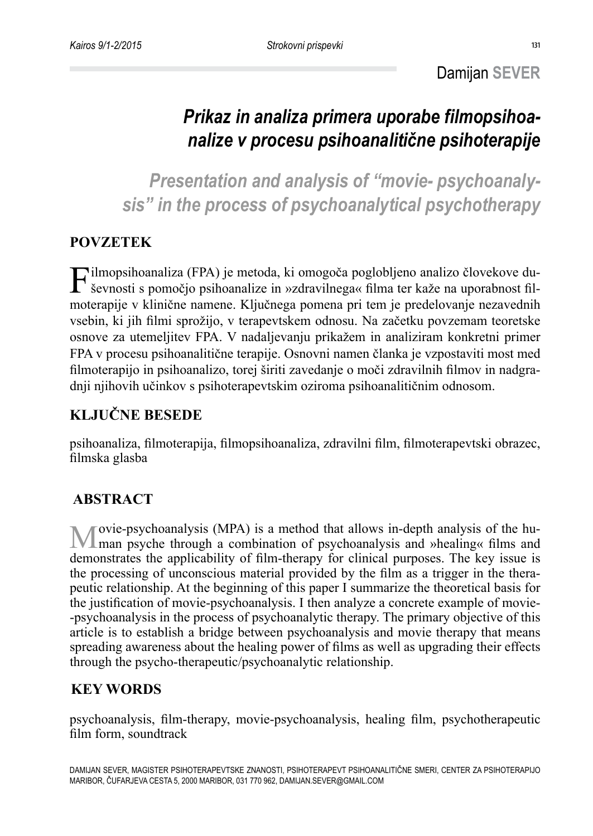## *Prikaz in analiza primera uporabe filmopsihoanalize v procesu psihoanalitične psihoterapije*

*Presentation and analysis of "movie- psychoanalysis" in the process of psychoanalytical psychotherapy*

## **POVZETEK**

Filmopsihoanaliza (FPA) je metoda, ki omogoča poglobljeno analizo človekove duševnosti s pomočjo psihoanalize in »zdravilnega« filma ter kaže na uporabnost filmoterapije v klinične namene. Ključnega pomena pri tem je predelovanje nezavednih vsebin, ki jih filmi sprožijo, v terapevtskem odnosu. Na začetku povzemam teoretske osnove za utemeljitev FPA. V nadaljevanju prikažem in analiziram konkretni primer FPA v procesu psihoanalitične terapije. Osnovni namen članka je vzpostaviti most med filmoterapijo in psihoanalizo, torej širiti zavedanje o moči zdravilnih filmov in nadgradnji njihovih učinkov s psihoterapevtskim oziroma psihoanalitičnim odnosom.

## **KLJUČNE BESEDE**

psihoanaliza, filmoterapija, filmopsihoanaliza, zdravilni film, filmoterapevtski obrazec, filmska glasba

## **ABSTRACT**

Movie-psychoanalysis (MPA) is a method that allows in-depth analysis of the hu-man psyche through a combination of psychoanalysis and »healing« films and demonstrates the applicability of film-therapy for clinical purposes. The key issue is the processing of unconscious material provided by the film as a trigger in the therapeutic relationship. At the beginning of this paper I summarize the theoretical basis for the justification of movie-psychoanalysis. I then analyze a concrete example of movie- -psychoanalysis in the process of psychoanalytic therapy. The primary objective of this article is to establish a bridge between psychoanalysis and movie therapy that means spreading awareness about the healing power of films as well as upgrading their effects through the psycho-therapeutic/psychoanalytic relationship.

## **KEY WORDS**

psychoanalysis, film-therapy, movie-psychoanalysis, healing film, psychotherapeutic film form, soundtrack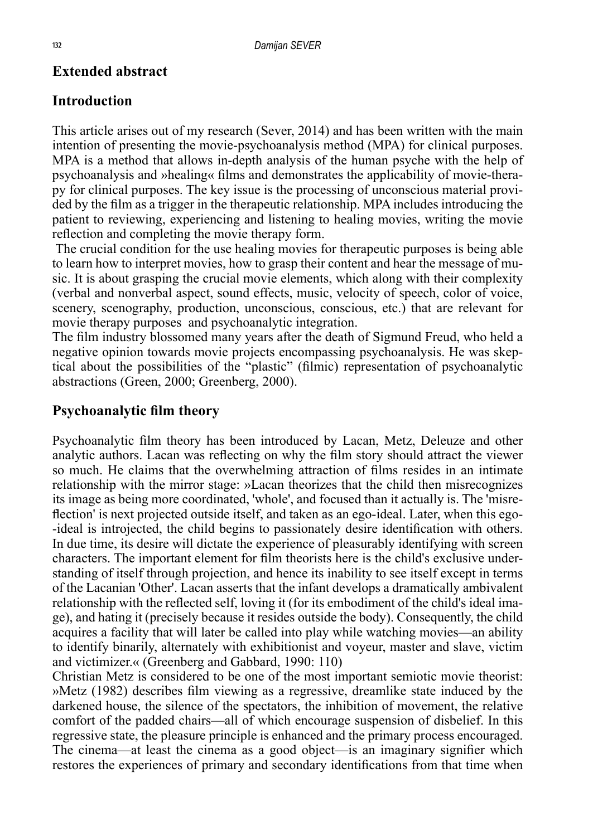### **Extended abstract**

### **Introduction**

This article arises out of my research (Sever, 2014) and has been written with the main intention of presenting the movie-psychoanalysis method (MPA) for clinical purposes. MPA is a method that allows in-depth analysis of the human psyche with the help of psychoanalysis and »healing« films and demonstrates the applicability of movie-therapy for clinical purposes. The key issue is the processing of unconscious material provided by the film as a trigger in the therapeutic relationship. MPA includes introducing the patient to reviewing, experiencing and listening to healing movies, writing the movie reflection and completing the movie therapy form.

 The crucial condition for the use healing movies for therapeutic purposes is being able to learn how to interpret movies, how to grasp their content and hear the message of music. It is about grasping the crucial movie elements, which along with their complexity (verbal and nonverbal aspect, sound effects, music, velocity of speech, color of voice, scenery, scenography, production, unconscious, conscious, etc.) that are relevant for movie therapy purposes and psychoanalytic integration.

The film industry blossomed many years after the death of Sigmund Freud, who held a negative opinion towards movie projects encompassing psychoanalysis. He was skeptical about the possibilities of the "plastic" (filmic) representation of psychoanalytic abstractions (Green, 2000; Greenberg, 2000).

### **Psychoanalytic film theory**

Psychoanalytic film theory has been introduced by Lacan, Metz, Deleuze and other analytic authors. Lacan was reflecting on why the film story should attract the viewer so much. He claims that the overwhelming attraction of films resides in an intimate relationship with the mirror stage: »Lacan theorizes that the child then misrecognizes its image as being more coordinated, 'whole', and focused than it actually is. The 'misreflection' is next projected outside itself, and taken as an ego-ideal. Later, when this ego- -ideal is introjected, the child begins to passionately desire identification with others. In due time, its desire will dictate the experience of pleasurably identifying with screen characters. The important element for film theorists here is the child's exclusive understanding of itself through projection, and hence its inability to see itself except in terms of the Lacanian 'Other'. Lacan asserts that the infant develops a dramatically ambivalent relationship with the reflected self, loving it (for its embodiment of the child's ideal image), and hating it (precisely because it resides outside the body). Consequently, the child acquires a facility that will later be called into play while watching movies—an ability to identify binarily, alternately with exhibitionist and voyeur, master and slave, victim and victimizer.« (Greenberg and Gabbard, 1990: 110)

Christian Metz is considered to be one of the most important semiotic movie theorist: »Metz (1982) describes film viewing as a regressive, dreamlike state induced by the darkened house, the silence of the spectators, the inhibition of movement, the relative comfort of the padded chairs—all of which encourage suspension of disbelief. In this regressive state, the pleasure principle is enhanced and the primary process encouraged. The cinema—at least the cinema as a good object—is an imaginary signifier which restores the experiences of primary and secondary identifications from that time when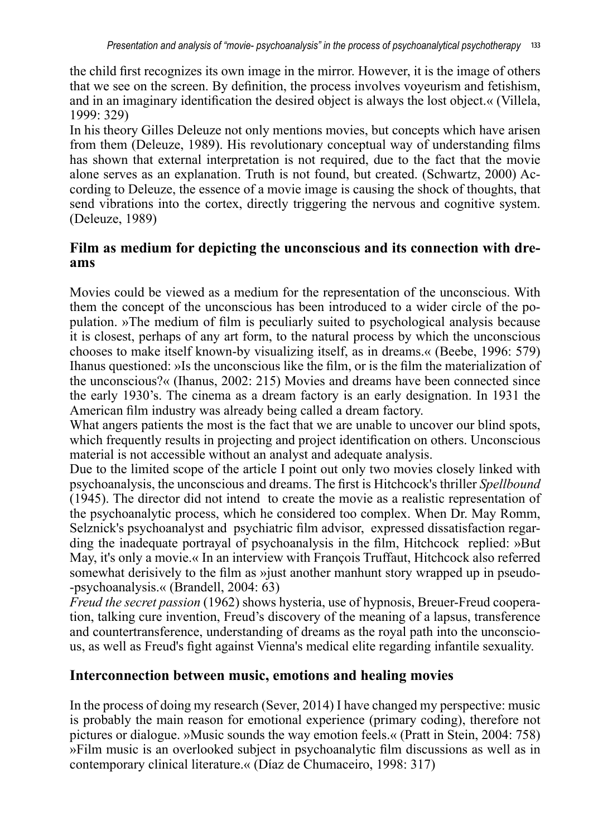the child first recognizes its own image in the mirror. However, it is the image of others that we see on the screen. By definition, the process involves voyeurism and fetishism, and in an imaginary identification the desired object is always the lost object.« (Villela, 1999: 329)

In his theory Gilles Deleuze not only mentions movies, but concepts which have arisen from them (Deleuze, 1989). His revolutionary conceptual way of understanding films has shown that external interpretation is not required, due to the fact that the movie alone serves as an explanation. Truth is not found, but created. (Schwartz, 2000) According to Deleuze, the essence of a movie image is causing the shock of thoughts, that send vibrations into the cortex, directly triggering the nervous and cognitive system. (Deleuze, 1989)

# **Film as medium for depicting the unconscious and its connection with dre- ams**

Movies could be viewed as a medium for the representation of the unconscious. With them the concept of the unconscious has been introduced to a wider circle of the population. »The medium of film is peculiarly suited to psychological analysis because it is closest, perhaps of any art form, to the natural process by which the unconscious chooses to make itself known-by visualizing itself, as in dreams.« (Beebe, 1996: 579) Ihanus questioned: »Is the unconscious like the film, or is the film the materialization of the unconscious?« (Ihanus, 2002: 215) Movies and dreams have been connected since the early 1930's. The cinema as a dream factory is an early designation. In 1931 the American film industry was already being called a dream factory.

What angers patients the most is the fact that we are unable to uncover our blind spots, which frequently results in projecting and project identification on others. Unconscious material is not accessible without an analyst and adequate analysis.

Due to the limited scope of the article I point out only two movies closely linked with psychoanalysis, the unconscious and dreams. The first is Hitchcock's thriller *Spellbound*  (1945). The director did not intend to create the movie as a realistic representation of the psychoanalytic process, which he considered too complex. When Dr. May Romm, Selznick's psychoanalyst and psychiatric film advisor, expressed dissatisfaction regarding the inadequate portrayal of psychoanalysis in the film, Hitchcock replied: »But May, it's only a movie.« In an interview with François Truffaut, Hitchcock also referred somewhat derisively to the film as »just another manhunt story wrapped up in pseudo- -psychoanalysis.« (Brandell, 2004: 63)

*Freud the secret passion* (1962) shows hysteria, use of hypnosis, Breuer-Freud cooperation, talking cure invention, Freud's discovery of the meaning of a lapsus, transference and countertransference, understanding of dreams as the royal path into the unconscious, as well as Freud's fight against Vienna's medical elite regarding infantile sexuality.

#### **Interconnection between music, emotions and healing movies**

In the process of doing my research (Sever, 2014) I have changed my perspective: music is probably the main reason for emotional experience (primary coding), therefore not pictures or dialogue. »Music sounds the way emotion feels.« (Pratt in Stein, 2004: 758) »Film music is an overlooked subject in psychoanalytic film discussions as well as in contemporary clinical literature.« (Díaz de Chumaceiro, 1998: 317)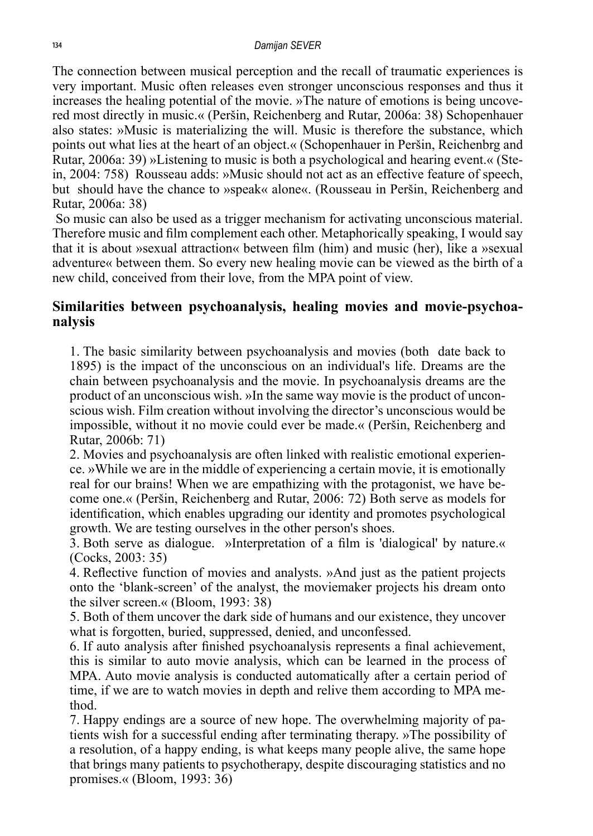The connection between musical perception and the recall of traumatic experiences is very important. Music often releases even stronger unconscious responses and thus it increases the healing potential of the movie. »The nature of emotions is being uncovered most directly in music.« (Peršin, Reichenberg and Rutar, 2006a: 38) Schopenhauer also states: »Music is materializing the will. Music is therefore the substance, which points out what lies at the heart of an object.« (Schopenhauer in Peršin, Reichenbrg and Rutar, 2006a: 39) »Listening to music is both a psychological and hearing event.« (Stein, 2004: 758) Rousseau adds: »Music should not act as an effective feature of speech, but should have the chance to »speak« alone«. (Rousseau in Peršin, Reichenberg and Rutar, 2006a: 38)

 So music can also be used as a trigger mechanism for activating unconscious material. Therefore music and film complement each other. Metaphorically speaking, I would say that it is about »sexual attraction« between film (him) and music (her), like a »sexual adventure« between them. So every new healing movie can be viewed as the birth of a new child, conceived from their love, from the MPA point of view.

## **Similarities between psychoanalysis, healing movies and movie-psychoa- nalysis**

1. The basic similarity between psychoanalysis and movies (both date back to 1895) is the impact of the unconscious on an individual's life. Dreams are the chain between psychoanalysis and the movie. In psychoanalysis dreams are the product of an unconscious wish. »In the same way movie is the product of unconscious wish. Film creation without involving the director's unconscious would be impossible, without it no movie could ever be made.« (Peršin, Reichenberg and Rutar, 2006b: 71)

2. Movies and psychoanalysis are often linked with realistic emotional experience. »While we are in the middle of experiencing a certain movie, it is emotionally real for our brains! When we are empathizing with the protagonist, we have become one.« (Peršin, Reichenberg and Rutar, 2006: 72) Both serve as models for identification, which enables upgrading our identity and promotes psychological growth. We are testing ourselves in the other person's shoes.

3. Both serve as dialogue. »Interpretation of a film is 'dialogical' by nature.« (Cocks, 2003: 35)

4. Reflective function of movies and analysts. »And just as the patient projects onto the 'blank-screen' of the analyst, the moviemaker projects his dream onto the silver screen.« (Bloom, 1993: 38)

5. Both of them uncover the dark side of humans and our existence, they uncover what is forgotten, buried, suppressed, denied, and unconfessed.

6. If auto analysis after finished psychoanalysis represents a final achievement, this is similar to auto movie analysis, which can be learned in the process of MPA. Auto movie analysis is conducted automatically after a certain period of time, if we are to watch movies in depth and relive them according to MPA method.

7. Happy endings are a source of new hope. The overwhelming majority of patients wish for a successful ending after terminating therapy. »The possibility of a resolution, of a happy ending, is what keeps many people alive, the same hope that brings many patients to psychotherapy, despite discouraging statistics and no promises.« (Bloom, 1993: 36)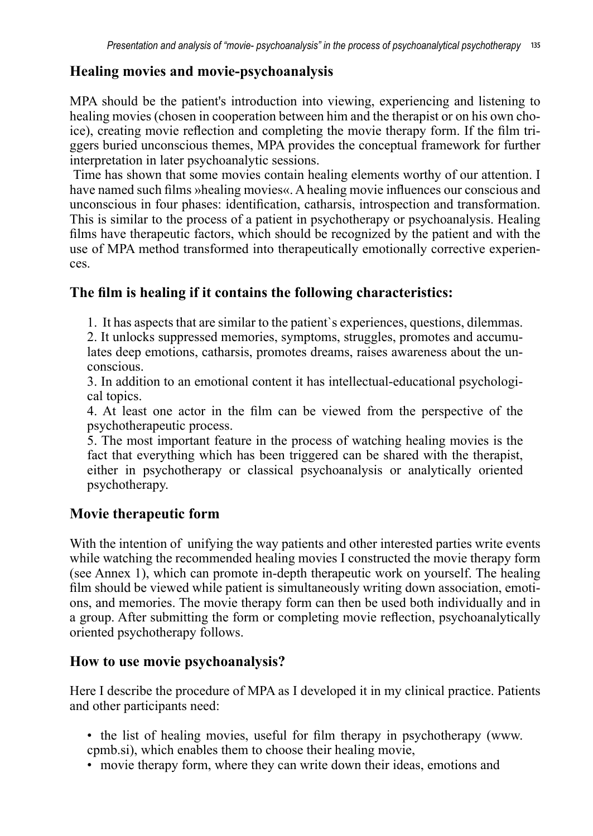## **Healing movies and movie-psychoanalysis**

MPA should be the patient's introduction into viewing, experiencing and listening to healing movies (chosen in cooperation between him and the therapist or on his own choice), creating movie reflection and completing the movie therapy form. If the film triggers buried unconscious themes, MPA provides the conceptual framework for further interpretation in later psychoanalytic sessions.

 Time has shown that some movies contain healing elements worthy of our attention. I have named such films »healing movies«. A healing movie influences our conscious and unconscious in four phases: identification, catharsis, introspection and transformation. This is similar to the process of a patient in psychotherapy or psychoanalysis. Healing films have therapeutic factors, which should be recognized by the patient and with the use of MPA method transformed into therapeutically emotionally corrective experiences.

## **The film is healing if it contains the following characteristics:**

1. It has aspects that are similar to the patient`s experiences, questions, dilemmas.

2. It unlocks suppressed memories, symptoms, struggles, promotes and accumulates deep emotions, catharsis, promotes dreams, raises awareness about the unconscious.

3. In addition to an emotional content it has intellectual-educational psychological topics.

4. At least one actor in the film can be viewed from the perspective of the psychotherapeutic process.

5. The most important feature in the process of watching healing movies is the fact that everything which has been triggered can be shared with the therapist, either in psychotherapy or classical psychoanalysis or analytically oriented psychotherapy.

## **Movie therapeutic form**

With the intention of unifying the way patients and other interested parties write events while watching the recommended healing movies I constructed the movie therapy form (see Annex 1), which can promote in-depth therapeutic work on yourself. The healing film should be viewed while patient is simultaneously writing down association, emotions, and memories. The movie therapy form can then be used both individually and in a group. After submitting the form or completing movie reflection, psychoanalytically oriented psychotherapy follows.

## **How to use movie psychoanalysis?**

Here I describe the procedure of MPA as I developed it in my clinical practice. Patients and other participants need:

- the list of healing movies, useful for film therapy in psychotherapy (www. cpmb.si), which enables them to choose their healing movie,
- movie therapy form, where they can write down their ideas, emotions and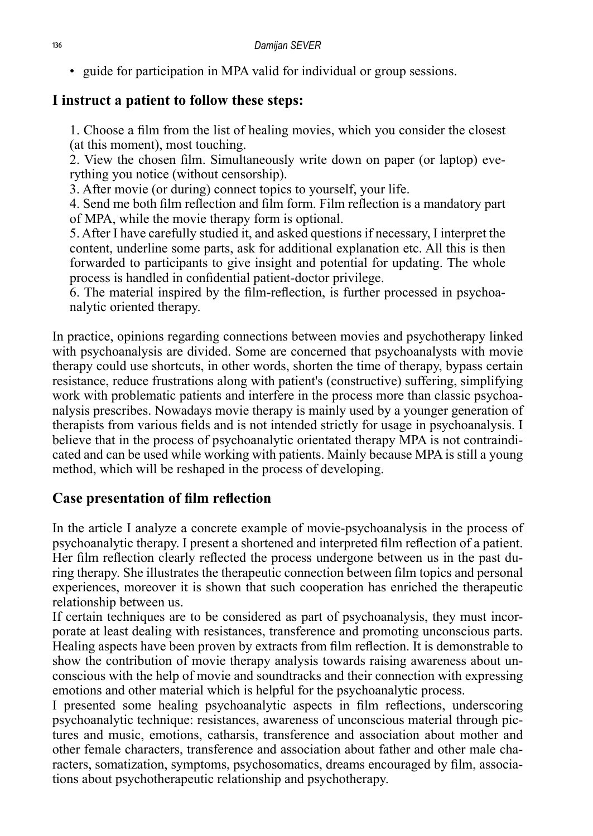• guide for participation in MPA valid for individual or group sessions.

#### **I instruct a patient to follow these steps:**

1. Choose a film from the list of healing movies, which you consider the closest (at this moment), most touching.

2. View the chosen film. Simultaneously write down on paper (or laptop) everything you notice (without censorship).

3. After movie (or during) connect topics to yourself, your life.

4. Send me both film reflection and film form. Film reflection is a mandatory part of MPA, while the movie therapy form is optional.

5. After I have carefully studied it, and asked questions if necessary, I interpret the content, underline some parts, ask for additional explanation etc. All this is then forwarded to participants to give insight and potential for updating. The whole process is handled in confidential patient-doctor privilege.

6. The material inspired by the film-reflection, is further processed in psychoanalytic oriented therapy.

In practice, opinions regarding connections between movies and psychotherapy linked with psychoanalysis are divided. Some are concerned that psychoanalysts with movie therapy could use shortcuts, in other words, shorten the time of therapy, bypass certain resistance, reduce frustrations along with patient's (constructive) suffering, simplifying work with problematic patients and interfere in the process more than classic psychoanalysis prescribes. Nowadays movie therapy is mainly used by a younger generation of therapists from various fields and is not intended strictly for usage in psychoanalysis. I believe that in the process of psychoanalytic orientated therapy MPA is not contraindicated and can be used while working with patients. Mainly because MPA is still a young method, which will be reshaped in the process of developing.

## **Case presentation of film reflection**

In the article I analyze a concrete example of movie-psychoanalysis in the process of psychoanalytic therapy. I present a shortened and interpreted film reflection of a patient. Her film reflection clearly reflected the process undergone between us in the past during therapy. She illustrates the therapeutic connection between film topics and personal experiences, moreover it is shown that such cooperation has enriched the therapeutic relationship between us.

If certain techniques are to be considered as part of psychoanalysis, they must incorporate at least dealing with resistances, transference and promoting unconscious parts. Healing aspects have been proven by extracts from film reflection. It is demonstrable to show the contribution of movie therapy analysis towards raising awareness about unconscious with the help of movie and soundtracks and their connection with expressing emotions and other material which is helpful for the psychoanalytic process.

I presented some healing psychoanalytic aspects in film reflections, underscoring psychoanalytic technique: resistances, awareness of unconscious material through pictures and music, emotions, catharsis, transference and association about mother and other female characters, transference and association about father and other male characters, somatization, symptoms, psychosomatics, dreams encouraged by film, associations about psychotherapeutic relationship and psychotherapy.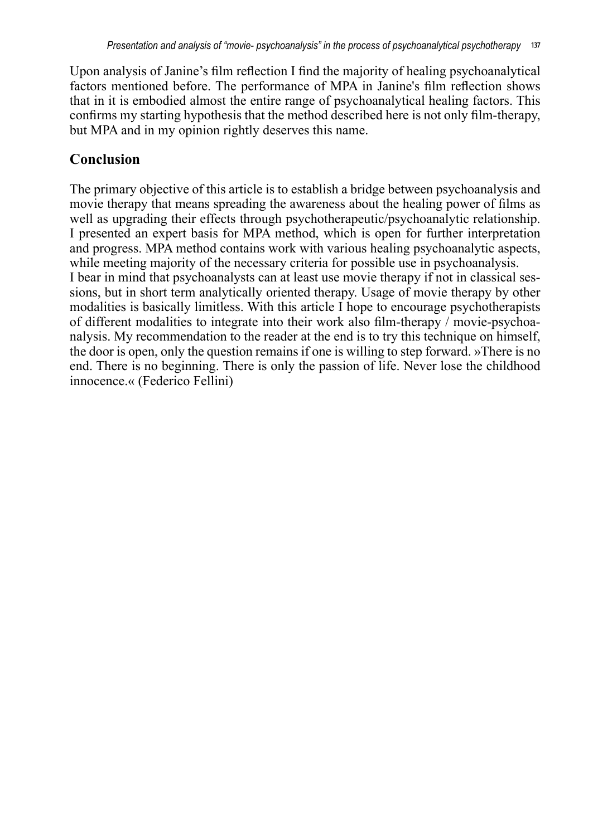Upon analysis of Janine's film reflection I find the majority of healing psychoanalytical factors mentioned before. The performance of MPA in Janine's film reflection shows that in it is embodied almost the entire range of psychoanalytical healing factors. This confirms my starting hypothesis that the method described here is not only film-therapy, but MPA and in my opinion rightly deserves this name.

## **Conclusion**

The primary objective of this article is to establish a bridge between psychoanalysis and movie therapy that means spreading the awareness about the healing power of films as well as upgrading their effects through psychotherapeutic/psychoanalytic relationship. I presented an expert basis for MPA method, which is open for further interpretation and progress. MPA method contains work with various healing psychoanalytic aspects, while meeting majority of the necessary criteria for possible use in psychoanalysis. I bear in mind that psychoanalysts can at least use movie therapy if not in classical sessions, but in short term analytically oriented therapy. Usage of movie therapy by other modalities is basically limitless. With this article  $\overline{I}$  hope to encourage psychotherapists of different modalities to integrate into their work also film-therapy / movie-psychoanalysis. My recommendation to the reader at the end is to try this technique on himself, the door is open, only the question remains if one is willing to step forward. »There is no end. There is no beginning. There is only the passion of life. Never lose the childhood innocence.« (Federico Fellini)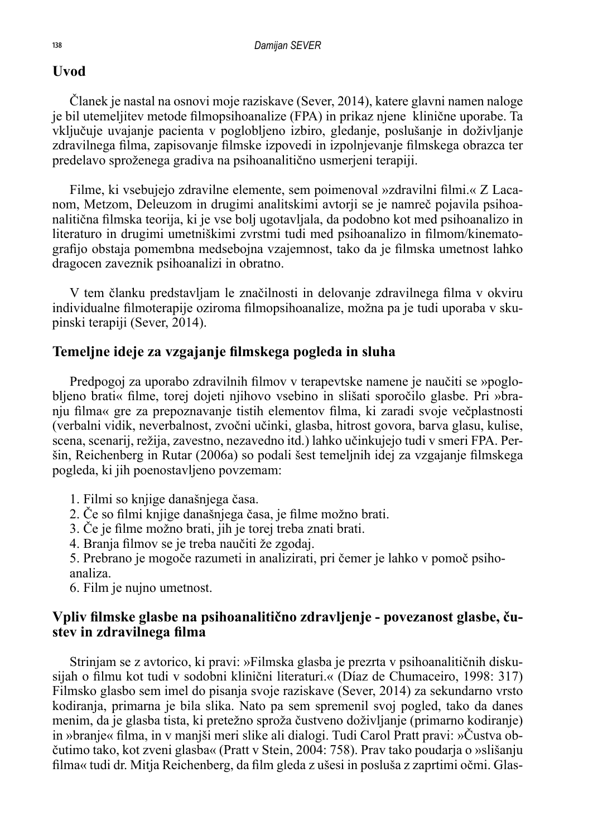#### **Uvod**

Članek je nastal na osnovi moje raziskave (Sever, 2014), katere glavni namen naloge je bil utemeljitev metode filmopsihoanalize (FPA) in prikaz njene klinične uporabe. Ta vključuje uvajanje pacienta v poglobljeno izbiro, gledanje, poslušanje in doživljanje zdravilnega filma, zapisovanje filmske izpovedi in izpolnjevanje filmskega obrazca ter predelavo sproženega gradiva na psihoanalitično usmerjeni terapiji.

Filme, ki vsebujejo zdravilne elemente, sem poimenoval »zdravilni filmi.« Z Lacanom, Metzom, Deleuzom in drugimi analitskimi avtorji se je namreč pojavila psihoanalitična filmska teorija, ki je vse bolj ugotavljala, da podobno kot med psihoanalizo in literaturo in drugimi umetniškimi zvrstmi tudi med psihoanalizo in filmom/kinematografijo obstaja pomembna medsebojna vzajemnost, tako da je filmska umetnost lahko dragocen zaveznik psihoanalizi in obratno.

V tem članku predstavljam le značilnosti in delovanje zdravilnega filma v okviru individualne filmoterapije oziroma filmopsihoanalize, možna pa je tudi uporaba v skupinski terapiji (Sever, 2014).

#### **Temeljne ideje za vzgajanje filmskega pogleda in sluha**

Predpogoj za uporabo zdravilnih filmov v terapevtske namene je naučiti se »poglobljeno brati« filme, torej dojeti njihovo vsebino in slišati sporočilo glasbe. Pri »branju filma« gre za prepoznavanje tistih elementov filma, ki zaradi svoje večplastnosti (verbalni vidik, neverbalnost, zvočni učinki, glasba, hitrost govora, barva glasu, kulise, scena, scenarij, režija, zavestno, nezavedno itd.) lahko učinkujejo tudi v smeri FPA. Peršin, Reichenberg in Rutar (2006a) so podali šest temeljnih idej za vzgajanje filmskega pogleda, ki jih poenostavljeno povzemam:

- 1. Filmi so knjige današnjega časa.
- 2. Če so filmi knjige današnjega časa, je filme možno brati.
- 3. Če je filme možno brati, jih je torej treba znati brati.
- 4. Branja filmov se je treba naučiti že zgodaj.
- 5. Prebrano je mogoče razumeti in analizirati, pri čemer je lahko v pomoč psihoanaliza.
- 6. Film je nujno umetnost.

#### **Vpliv filmske glasbe na psihoanalitično zdravljenje - povezanost glasbe, čustev in zdravilnega filma**

Strinjam se z avtorico, ki pravi: »Filmska glasba je prezrta v psihoanalitičnih diskusijah o filmu kot tudi v sodobni klinični literaturi.« (Díaz de Chumaceiro, 1998: 317) Filmsko glasbo sem imel do pisanja svoje raziskave (Sever, 2014) za sekundarno vrsto kodiranja, primarna je bila slika. Nato pa sem spremenil svoj pogled, tako da danes menim, da je glasba tista, ki pretežno sproža čustveno doživljanje (primarno kodiranje) in »branje« filma, in v manjši meri slike ali dialogi. Tudi Carol Pratt pravi: »Čustva občutimo tako, kot zveni glasba« (Pratt v Stein, 2004: 758). Prav tako poudarja o »slišanju filma« tudi dr. Mitja Reichenberg, da film gleda z ušesi in posluša z zaprtimi očmi. Glas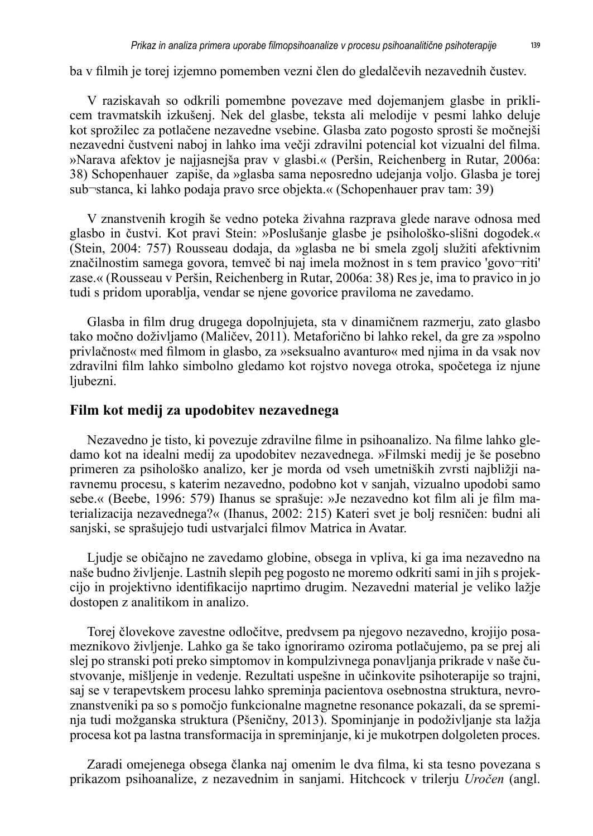ba v filmih je torej izjemno pomemben vezni člen do gledalčevih nezavednih čustev.

V raziskavah so odkrili pomembne povezave med dojemanjem glasbe in priklicem travmatskih izkušenj. Nek del glasbe, teksta ali melodije v pesmi lahko deluje kot sprožilec za potlačene nezavedne vsebine. Glasba zato pogosto sprosti še močnejši nezavedni čustveni naboj in lahko ima večji zdravilni potencial kot vizualni del filma. »Narava afektov je najjasnejša prav v glasbi.« (Peršin, Reichenberg in Rutar, 2006a: 38) Schopenhauer zapiše, da »glasba sama neposredno udejanja voljo. Glasba je torej sub¬stanca, ki lahko podaja pravo srce objekta.« (Schopenhauer prav tam: 39)

V znanstvenih krogih še vedno poteka živahna razprava glede narave odnosa med glasbo in čustvi. Kot pravi Stein: »Poslušanje glasbe je psihološko-slišni dogodek.« (Stein, 2004: 757) Rousseau dodaja, da »glasba ne bi smela zgolj služiti afektivnim značilnostim samega govora, temveč bi naj imela možnost in s tem pravico 'govo¬riti' zase.« (Rousseau v Peršin, Reichenberg in Rutar, 2006a: 38) Res je, ima to pravico in jo tudi s pridom uporablja, vendar se njene govorice praviloma ne zavedamo.

Glasba in film drug drugega dopolnjujeta, sta v dinamičnem razmerju, zato glasbo tako močno doživljamo (Maličev, 2011). Metaforično bi lahko rekel, da gre za »spolno privlačnost« med filmom in glasbo, za »seksualno avanturo« med njima in da vsak nov zdravilni film lahko simbolno gledamo kot rojstvo novega otroka, spočetega iz njune ljubezni.

#### **Film kot medij za upodobitev nezavednega**

Nezavedno je tisto, ki povezuje zdravilne filme in psihoanalizo. Na filme lahko gledamo kot na idealni medij za upodobitev nezavednega. »Filmski medij je še posebno primeren za psihološko analizo, ker je morda od vseh umetniških zvrsti najbližji naravnemu procesu, s katerim nezavedno, podobno kot v sanjah, vizualno upodobi samo sebe.« (Beebe, 1996: 579) Ihanus se sprašuje: »Je nezavedno kot film ali je film materializacija nezavednega?« (Ihanus, 2002: 215) Kateri svet je bolj resničen: budni ali sanjski, se sprašujejo tudi ustvarjalci filmov Matrica in Avatar.

Ljudje se običajno ne zavedamo globine, obsega in vpliva, ki ga ima nezavedno na naše budno življenje. Lastnih slepih peg pogosto ne moremo odkriti sami in jih s projekcijo in projektivno identifikacijo naprtimo drugim. Nezavedni material je veliko lažje dostopen z analitikom in analizo.

Torej človekove zavestne odločitve, predvsem pa njegovo nezavedno, krojijo posameznikovo življenje. Lahko ga še tako ignoriramo oziroma potlačujemo, pa se prej ali slej po stranski poti preko simptomov in kompulzivnega ponavljanja prikrade v naše čustvovanje, mišljenje in vedenje. Rezultati uspešne in učinkovite psihoterapije so trajni, saj se v terapevtskem procesu lahko spreminja pacientova osebnostna struktura, nevroznanstveniki pa so s pomočjo funkcionalne magnetne resonance pokazali, da se spreminja tudi možganska struktura (Pšeničny, 2013). Spominjanje in podoživljanje sta lažja procesa kot pa lastna transformacija in spreminjanje, ki je mukotrpen dolgoleten proces.

Zaradi omejenega obsega članka naj omenim le dva filma, ki sta tesno povezana s prikazom psihoanalize, z nezavednim in sanjami. Hitchcock v trilerju *Uročen* (angl.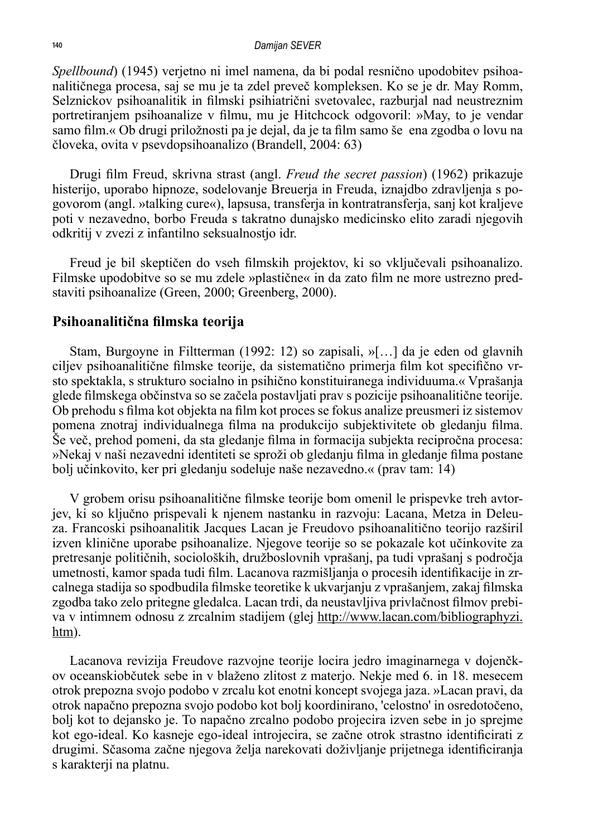*Spellbound*) (1945) verjetno ni imel namena, da bi podal resnično upodobitev psihoanalitičnega procesa, saj se mu je ta zdel preveč kompleksen. Ko se je dr. May Romm, Selznickov psihoanalitik in filmski psihiatrični svetovalec, razburjal nad neustreznim portretiranjem psihoanalize v filmu, mu je Hitchcock odgovoril: »May, to je vendar samo film.« Ob drugi priložnosti pa je dejal, da je ta film samo še ena zgodba o lovu na človeka, ovita v psevdopsihoanalizo (Brandell, 2004: 63)

Drugi film Freud, skrivna strast (angl. *Freud the secret passion*) (1962) prikazuje histerijo, uporabo hipnoze, sodelovanje Breuerja in Freuda, iznajdbo zdravljenja s pogovorom (angl. »talking cure«), lapsusa, transferja in kontratransferja, sanj kot kraljeve poti v nezavedno, borbo Freuda s takratno dunajsko medicinsko elito zaradi njegovih odkritij v zvezi z infantilno seksualnostjo idr.

Freud je bil skeptičen do vseh filmskih projektov, ki so vključevali psihoanalizo. Filmske upodobitve so se mu zdele »plastične« in da zato film ne more ustrezno predstaviti psihoanalize (Green, 2000; Greenberg, 2000).

#### **Psihoanalitična filmska teorija**

Stam, Burgoyne in Filtterman (1992: 12) so zapisali, »[…] da je eden od glavnih ciljev psihoanalitične filmske teorije, da sistematično primerja film kot specifično vrsto spektakla, s strukturo socialno in psihično konstituiranega individuuma.« Vprašanja glede filmskega občinstva so se začela postavljati prav s pozicije psihoanalitične teorije. Ob prehodu s filma kot objekta na film kot proces se fokus analize preusmeri iz sistemov pomena znotraj individualnega filma na produkcijo subjektivitete ob gledanju filma. Še več, prehod pomeni, da sta gledanje filma in formacija subjekta recipročna procesa: »Nekaj v naši nezavedni identiteti se sproži ob gledanju filma in gledanje filma postane bolj učinkovito, ker pri gledanju sodeluje naše nezavedno.« (prav tam: 14)

V grobem orisu psihoanalitične filmske teorije bom omenil le prispevke treh avtorjev, ki so ključno prispevali k njenem nastanku in razvoju: Lacana, Metza in Deleuza. Francoski psihoanalitik Jacques Lacan je Freudovo psihoanalitično teorijo razširil izven klinične uporabe psihoanalize. Njegove teorije so se pokazale kot učinkovite za pretresanje političnih, socioloških, družboslovnih vprašanj, pa tudi vprašanj s področja umetnosti, kamor spada tudi film. Lacanova razmišljanja o procesih identifikacije in zrcalnega stadija so spodbudila filmske teoretike k ukvarjanju z vprašanjem, zakaj filmska zgodba tako zelo pritegne gledalca. Lacan trdi, da neustavljiva privlačnost filmov prebiva v intimnem odnosu z zrcalnim stadijem (glej http://www.lacan.com/bibliographyzi. htm).

Lacanova revizija Freudove razvojne teorije locira jedro imaginarnega v dojenčkov oceanskiobčutek sebe in v blaženo zlitost z materjo. Nekje med 6. in 18. mesecem otrok prepozna svojo podobo v zrcalu kot enotni koncept svojega jaza. »Lacan pravi, da otrok napačno prepozna svojo podobo kot bolj koordinirano, 'celostno' in osredotočeno, bolj kot to dejansko je. To napačno zrcalno podobo projecira izven sebe in jo sprejme kot ego-ideal. Ko kasneje ego-ideal introjecira, se začne otrok strastno identificirati z drugimi. Sčasoma začne njegova želja narekovati doživljanje prijetnega identificiranja s karakterji na platnu.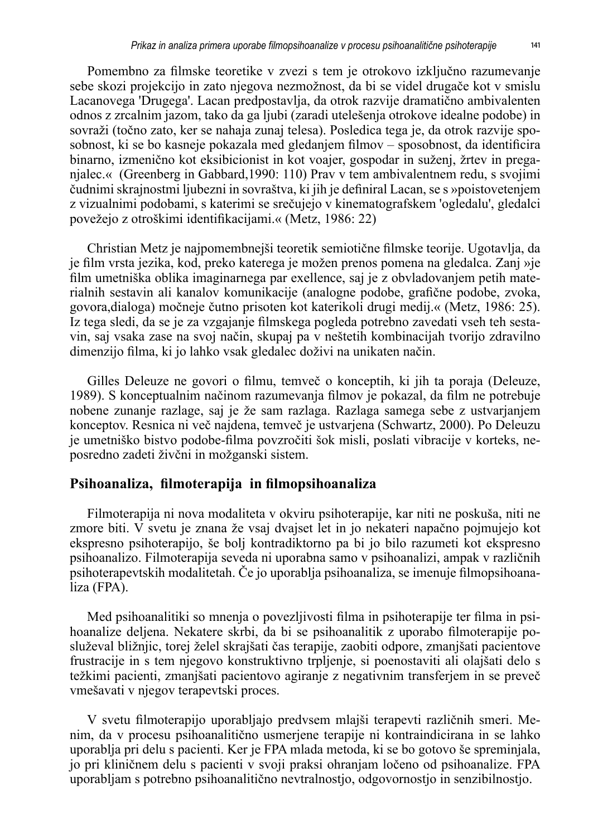Pomembno za filmske teoretike v zvezi s tem je otrokovo izključno razumevanje sebe skozi projekcijo in zato njegova nezmožnost, da bi se videl drugače kot v smislu Lacanovega 'Drugega'. Lacan predpostavlja, da otrok razvije dramatično ambivalenten odnos z zrcalnim jazom, tako da ga ljubi (zaradi utelešenja otrokove idealne podobe) in sovraži (točno zato, ker se nahaja zunaj telesa). Posledica tega je, da otrok razvije sposobnost, ki se bo kasneje pokazala med gledanjem filmov – sposobnost, da identificira binarno, izmenično kot eksibicionist in kot voajer, gospodar in suženj, žrtev in preganjalec.« (Greenberg in Gabbard,1990: 110) Prav v tem ambivalentnem redu, s svojimi čudnimi skrajnostmi ljubezni in sovraštva, ki jih je definiral Lacan, se s »poistovetenjem z vizualnimi podobami, s katerimi se srečujejo v kinematografskem 'ogledalu', gledalci povežejo z otroškimi identifikacijami.« (Metz, 1986: 22)

Christian Metz je najpomembnejši teoretik semiotične filmske teorije. Ugotavlja, da je film vrsta jezika, kod, preko katerega je možen prenos pomena na gledalca. Zanj »je film umetniška oblika imaginarnega par exellence, saj je z obvladovanjem petih materialnih sestavin ali kanalov komunikacije (analogne podobe, grafične podobe, zvoka, govora,dialoga) močneje čutno prisoten kot katerikoli drugi medij.« (Metz, 1986: 25). Iz tega sledi, da se je za vzgajanje filmskega pogleda potrebno zavedati vseh teh sestavin, saj vsaka zase na svoj način, skupaj pa v neštetih kombinacijah tvorijo zdravilno dimenzijo filma, ki jo lahko vsak gledalec doživi na unikaten način.

Gilles Deleuze ne govori o filmu, temveč o konceptih, ki jih ta poraja (Deleuze, 1989). S konceptualnim načinom razumevanja filmov je pokazal, da film ne potrebuje nobene zunanje razlage, saj je že sam razlaga. Razlaga samega sebe z ustvarjanjem konceptov. Resnica ni več najdena, temveč je ustvarjena (Schwartz, 2000). Po Deleuzu je umetniško bistvo podobe-filma povzročiti šok misli, poslati vibracije v korteks, neposredno zadeti živčni in možganski sistem.

#### **Psihoanaliza, filmoterapija in filmopsihoanaliza**

Filmoterapija ni nova modaliteta v okviru psihoterapije, kar niti ne poskuša, niti ne zmore biti. V svetu je znana že vsaj dvajset let in jo nekateri napačno pojmujejo kot ekspresno psihoterapijo, še bolj kontradiktorno pa bi jo bilo razumeti kot ekspresno psihoanalizo. Filmoterapija seveda ni uporabna samo v psihoanalizi, ampak v različnih psihoterapevtskih modalitetah. Če jo uporablja psihoanaliza, se imenuje filmopsihoanaliza (FPA).

Med psihoanalitiki so mnenja o povezljivosti filma in psihoterapije ter filma in psihoanalize deljena. Nekatere skrbi, da bi se psihoanalitik z uporabo filmoterapije posluževal bližnjic, torej želel skrajšati čas terapije, zaobiti odpore, zmanjšati pacientove frustracije in s tem njegovo konstruktivno trpljenje, si poenostaviti ali olajšati delo s težkimi pacienti, zmanjšati pacientovo agiranje z negativnim transferjem in se preveč vmešavati v njegov terapevtski proces.

V svetu filmoterapijo uporabljajo predvsem mlajši terapevti različnih smeri. Menim, da v procesu psihoanalitično usmerjene terapije ni kontraindicirana in se lahko uporablja pri delu s pacienti. Ker je FPA mlada metoda, ki se bo gotovo še spreminjala, jo pri kliničnem delu s pacienti v svoji praksi ohranjam ločeno od psihoanalize. FPA uporabljam s potrebno psihoanalitično nevtralnostjo, odgovornostjo in senzibilnostjo.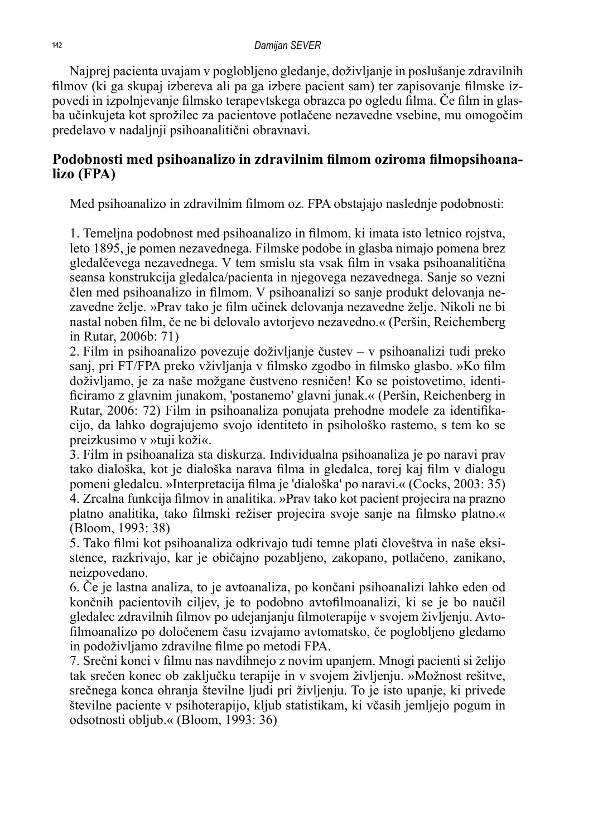Najprej pacienta uvajam v poglobljeno gledanje, doživljanje in poslušanje zdravilnih filmov (ki ga skupaj izbereva ali pa ga izbere pacient sam) ter zapisovanje filmske izpovedi in izpolnjevanje filmsko terapevtskega obrazca po ogledu filma. Če film in glasba učinkujeta kot sprožilec za pacientove potlačene nezavedne vsebine, mu omogočim predelavo v nadaljnji psihoanalitični obravnavi.

#### **Podobnosti med psihoanalizo in zdravilnim filmom oziroma filmopsihoanalizo (FPA)**

Med psihoanalizo in zdravilnim filmom oz. FPA obstajajo naslednje podobnosti:

1. Temeljna podobnost med psihoanalizo in filmom, ki imata isto letnico rojstva, leto 1895, je pomen nezavednega. Filmske podobe in glasba nimajo pomena brez gledalčevega nezavednega. V tem smislu sta vsak film in vsaka psihoanalitična seansa konstrukcija gledalca/pacienta in njegovega nezavednega. Sanje so vezni člen med psihoanalizo in filmom. V psihoanalizi so sanje produkt delovanja nezavedne želje. »Prav tako je film učinek delovanja nezavedne želje. Nikoli ne bi nastal noben film, če ne bi delovalo avtorjevo nezavedno.« (Peršin, Reichemberg in Rutar, 2006b: 71)

2. Film in psihoanalizo povezuje doživljanje čustev – v psihoanalizi tudi preko sanj, pri FT/FPA preko vživljanja v filmsko zgodbo in filmsko glasbo. »Ko film doživljamo, je za naše možgane čustveno resničen! Ko se poistovetimo, identificiramo z glavnim junakom, 'postanemo' glavni junak.« (Peršin, Reichenberg in Rutar, 2006: 72) Film in psihoanaliza ponujata prehodne modele za identifikacijo, da lahko dograjujemo svojo identiteto in psihološko rastemo, s tem ko se preizkusimo v »tuji koži«.

3. Film in psihoanaliza sta diskurza. Individualna psihoanaliza je po naravi prav tako dialoška, kot je dialoška narava filma in gledalca, torej kaj film v dialogu pomeni gledalcu. »Interpretacija filma je 'dialoška' po naravi.« (Cocks, 2003: 35) 4. Zrcalna funkcija filmov in analitika. »Prav tako kot pacient projecira na prazno platno analitika, tako filmski režiser projecira svoje sanje na filmsko platno.« (Bloom, 1993: 38)

5. Tako filmi kot psihoanaliza odkrivajo tudi temne plati človeštva in naše eksistence, razkrivajo, kar je običajno pozabljeno, zakopano, potlačeno, zanikano, neizpovedano.

6. Če je lastna analiza, to je avtoanaliza, po končani psihoanalizi lahko eden od končnih pacientovih ciljev, je to podobno avtofilmoanalizi, ki se je bo naučil gledalec zdravilnih filmov po udejanjanju filmoterapije v svojem življenju. Avtofilmoanalizo po določenem času izvajamo avtomatsko, če poglobljeno gledamo in podoživljamo zdravilne filme po metodi FPA.

7. Srečni konci v filmu nas navdihnejo z novim upanjem. Mnogi pacienti si želijo tak srečen konec ob zaključku terapije in v svojem življenju. »Možnost rešitve, srečnega konca ohranja številne ljudi pri življenju. To je isto upanje, ki privede številne paciente v psihoterapijo, kljub statistikam, ki včasih jemljejo pogum in odsotnosti obljub.« (Bloom, 1993: 36)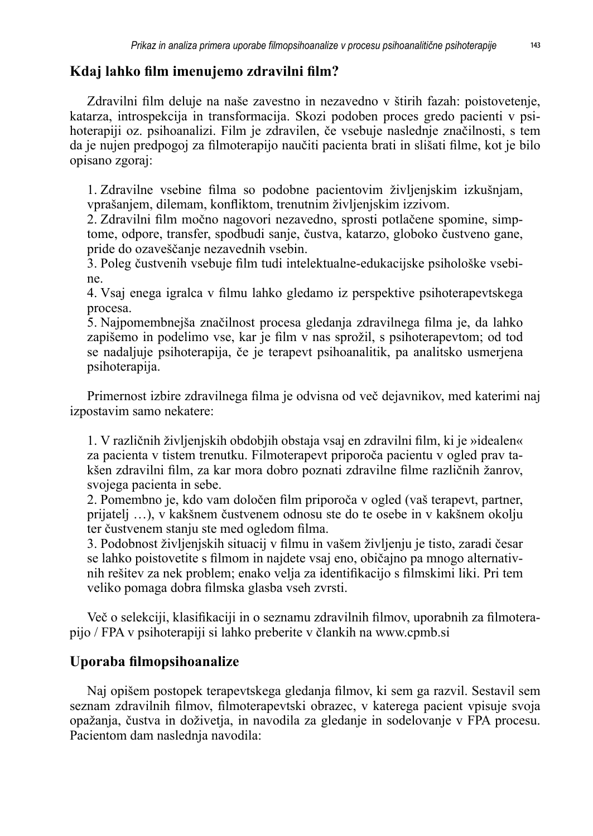## **Kdaj lahko film imenujemo zdravilni film?**

Zdravilni film deluje na naše zavestno in nezavedno v štirih fazah: poistovetenje, katarza, introspekcija in transformacija. Skozi podoben proces gredo pacienti v psihoterapiji oz. psihoanalizi. Film je zdravilen, če vsebuje naslednje značilnosti, s tem da je nujen predpogoj za filmoterapijo naučiti pacienta brati in slišati filme, kot je bilo opisano zgoraj:

1. Zdravilne vsebine filma so podobne pacientovim življenjskim izkušnjam, vprašanjem, dilemam, konfliktom, trenutnim življenjskim izzivom.

2. Zdravilni film močno nagovori nezavedno, sprosti potlačene spomine, simptome, odpore, transfer, spodbudi sanje, čustva, katarzo, globoko čustveno gane, pride do ozaveščanje nezavednih vsebin.

3. Poleg čustvenih vsebuje film tudi intelektualne-edukacijske psihološke vsebine.

4. Vsaj enega igralca v filmu lahko gledamo iz perspektive psihoterapevtskega procesa.

5. Najpomembnejša značilnost procesa gledanja zdravilnega filma je, da lahko zapišemo in podelimo vse, kar je film v nas sprožil, s psihoterapevtom; od tod se nadaljuje psihoterapija, če je terapevt psihoanalitik, pa analitsko usmerjena psihoterapija.

Primernost izbire zdravilnega filma je odvisna od več dejavnikov, med katerimi naj izpostavim samo nekatere:

1. V različnih življenjskih obdobjih obstaja vsaj en zdravilni film, ki je »idealen« za pacienta v tistem trenutku. Filmoterapevt priporoča pacientu v ogled prav takšen zdravilni film, za kar mora dobro poznati zdravilne filme različnih žanrov, svojega pacienta in sebe.

2. Pomembno je, kdo vam določen film priporoča v ogled (vaš terapevt, partner, prijatelj …), v kakšnem čustvenem odnosu ste do te osebe in v kakšnem okolju ter čustvenem stanju ste med ogledom filma.

3. Podobnost življenjskih situacij v filmu in vašem življenju je tisto, zaradi česar se lahko poistovetite s filmom in najdete vsaj eno, običajno pa mnogo alternativnih rešitev za nek problem; enako velja za identifikacijo s filmskimi liki. Pri tem veliko pomaga dobra filmska glasba vseh zvrsti.

Več o selekciji, klasifikaciji in o seznamu zdravilnih filmov, uporabnih za filmoterapijo / FPA v psihoterapiji si lahko preberite v člankih na www.cpmb.si

## **Uporaba filmopsihoanalize**

Naj opišem postopek terapevtskega gledanja filmov, ki sem ga razvil. Sestavil sem seznam zdravilnih filmov, filmoterapevtski obrazec, v katerega pacient vpisuje svoja opažanja, čustva in doživetja, in navodila za gledanje in sodelovanje v FPA procesu. Pacientom dam naslednja navodila: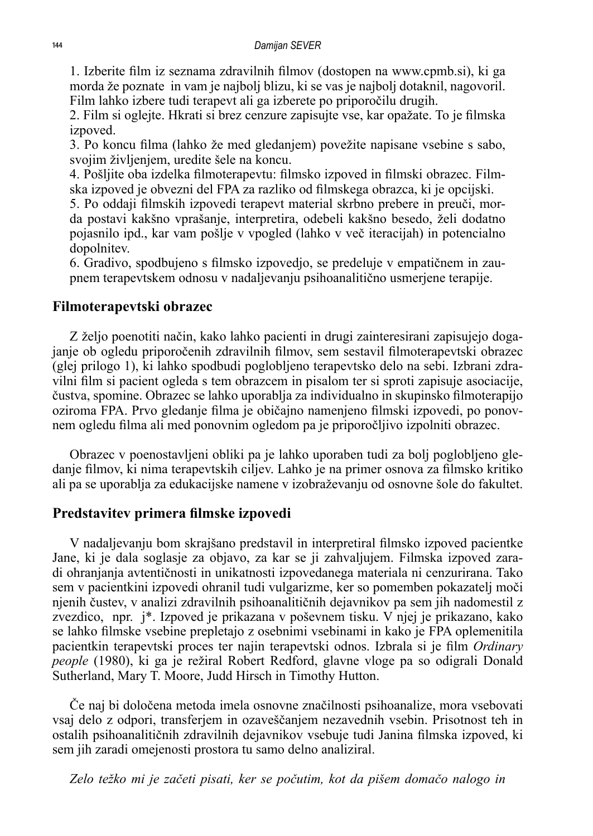1. Izberite film iz seznama zdravilnih filmov (dostopen na www.cpmb.si), ki ga morda že poznate in vam je najbolj blizu, ki se vas je najbolj dotaknil, nagovoril. Film lahko izbere tudi terapevt ali ga izberete po priporočilu drugih.

2. Film si oglejte. Hkrati si brez cenzure zapisujte vse, kar opažate. To je filmska izpoved.

3. Po koncu filma (lahko že med gledanjem) povežite napisane vsebine s sabo, svojim življenjem, uredite šele na koncu.

4. Pošljite oba izdelka filmoterapevtu: filmsko izpoved in filmski obrazec. Filmska izpoved je obvezni del FPA za razliko od filmskega obrazca, ki je opcijski.

5. Po oddaji filmskih izpovedi terapevt material skrbno prebere in preuči, morda postavi kakšno vprašanje, interpretira, odebeli kakšno besedo, želi dodatno pojasnilo ipd., kar vam pošlje v vpogled (lahko v več iteracijah) in potencialno dopolnitev.

6. Gradivo, spodbujeno s filmsko izpovedjo, se predeluje v empatičnem in zaupnem terapevtskem odnosu v nadaljevanju psihoanalitično usmerjene terapije.

#### **Filmoterapevtski obrazec**

Z željo poenotiti način, kako lahko pacienti in drugi zainteresirani zapisujejo dogajanje ob ogledu priporočenih zdravilnih filmov, sem sestavil filmoterapevtski obrazec (glej prilogo 1), ki lahko spodbudi poglobljeno terapevtsko delo na sebi. Izbrani zdravilni film si pacient ogleda s tem obrazcem in pisalom ter si sproti zapisuje asociacije, čustva, spomine. Obrazec se lahko uporablja za individualno in skupinsko filmoterapijo oziroma FPA. Prvo gledanje filma je običajno namenjeno filmski izpovedi, po ponovnem ogledu filma ali med ponovnim ogledom pa je priporočljivo izpolniti obrazec.

Obrazec v poenostavljeni obliki pa je lahko uporaben tudi za bolj poglobljeno gledanje filmov, ki nima terapevtskih ciljev. Lahko je na primer osnova za filmsko kritiko ali pa se uporablja za edukacijske namene v izobraževanju od osnovne šole do fakultet.

#### **Predstavitev primera filmske izpovedi**

V nadaljevanju bom skrajšano predstavil in interpretiral filmsko izpoved pacientke Jane, ki je dala soglasje za objavo, za kar se ji zahvaljujem. Filmska izpoved zaradi ohranjanja avtentičnosti in unikatnosti izpovedanega materiala ni cenzurirana. Tako sem v pacientkini izpovedi ohranil tudi vulgarizme, ker so pomemben pokazatelj moči njenih čustev, v analizi zdravilnih psihoanalitičnih dejavnikov pa sem jih nadomestil z zvezdico, npr. j\*. Izpoved je prikazana v poševnem tisku. V njej je prikazano, kako se lahko filmske vsebine prepletajo z osebnimi vsebinami in kako je FPA oplemenitila pacientkin terapevtski proces ter najin terapevtski odnos. Izbrala si je film *Ordinary people* (1980), ki ga je režiral Robert Redford, glavne vloge pa so odigrali Donald Sutherland, Mary T. Moore, Judd Hirsch in Timothy Hutton.

Če naj bi določena metoda imela osnovne značilnosti psihoanalize, mora vsebovati vsaj delo z odpori, transferjem in ozaveščanjem nezavednih vsebin. Prisotnost teh in ostalih psihoanalitičnih zdravilnih dejavnikov vsebuje tudi Janina filmska izpoved, ki sem jih zaradi omejenosti prostora tu samo delno analiziral.

*Zelo težko mi je začeti pisati, ker se počutim, kot da pišem domačo nalogo in*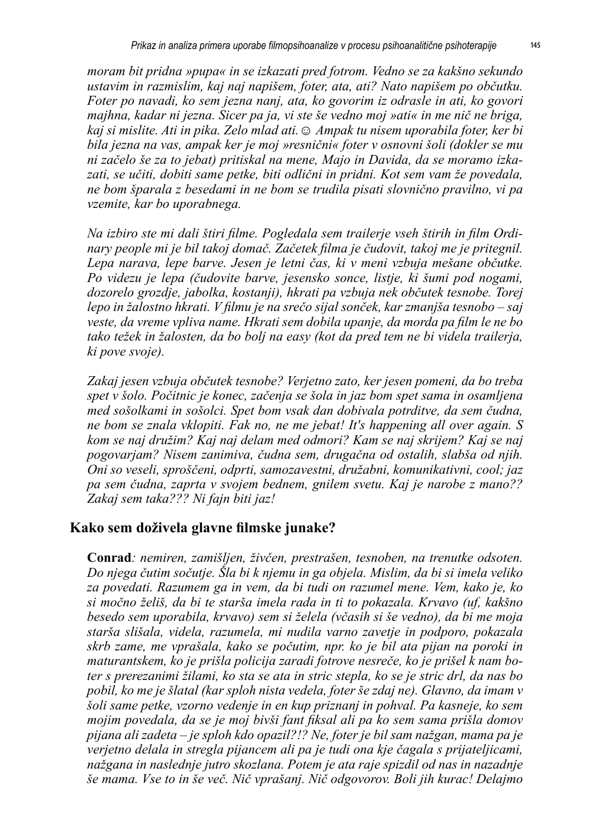*moram bit pridna »pupa« in se izkazati pred fotrom. Vedno se za kakšno sekundo ustavim in razmislim, kaj naj napišem, foter, ata, ati? Nato napišem po občutku. Foter po navadi, ko sem jezna nanj, ata, ko govorim iz odrasle in ati, ko govori majhna, kadar ni jezna. Sicer pa ja, vi ste še vedno moj »ati« in me nič ne briga, kaj si mislite. Ati in pika. Zelo mlad ati.☺ Ampak tu nisem uporabila foter, ker bi bila jezna na vas, ampak ker je moj »resnični« foter v osnovni šoli (dokler se mu ni začelo še za to jebat) pritiskal na mene, Majo in Davida, da se moramo izkazati, se učiti, dobiti same petke, biti odlični in pridni. Kot sem vam že povedala, ne bom šparala z besedami in ne bom se trudila pisati slovnično pravilno, vi pa vzemite, kar bo uporabnega.* 

*Na izbiro ste mi dali štiri filme. Pogledala sem trailerje vseh štirih in film Ordinary people mi je bil takoj domač. Začetek filma je čudovit, takoj me je pritegnil. Lepa narava, lepe barve. Jesen je letni čas, ki v meni vzbuja mešane občutke. Po videzu je lepa (čudovite barve, jesensko sonce, listje, ki šumi pod nogami, dozorelo grozdje, jabolka, kostanji), hkrati pa vzbuja nek občutek tesnobe. Torej lepo in žalostno hkrati. V filmu je na srečo sijal sonček, kar zmanjša tesnobo – saj veste, da vreme vpliva name. Hkrati sem dobila upanje, da morda pa film le ne bo tako težek in žalosten, da bo bolj na easy (kot da pred tem ne bi videla trailerja, ki pove svoje).* 

*Zakaj jesen vzbuja občutek tesnobe? Verjetno zato, ker jesen pomeni, da bo treba spet v šolo. Počitnic je konec, začenja se šola in jaz bom spet sama in osamljena med sošolkami in sošolci. Spet bom vsak dan dobivala potrditve, da sem čudna, ne bom se znala vklopiti. Fak no, ne me jebat! It's happening all over again. S kom se naj družim? Kaj naj delam med odmori? Kam se naj skrijem? Kaj se naj pogovarjam? Nisem zanimiva, čudna sem, drugačna od ostalih, slabša od njih. Oni so veseli, sproščeni, odprti, samozavestni, družabni, komunikativni, cool; jaz pa sem čudna, zaprta v svojem bednem, gnilem svetu. Kaj je narobe z mano?? Zakaj sem taka??? Ni fajn biti jaz!* 

#### **Kako sem doživela glavne filmske junake?**

**Conrad***: nemiren, zamišljen, živčen, prestrašen, tesnoben, na trenutke odsoten. Do njega čutim sočutje. Šla bi k njemu in ga objela. Mislim, da bi si imela veliko za povedati. Razumem ga in vem, da bi tudi on razumel mene. Vem, kako je, ko si močno želiš, da bi te starša imela rada in ti to pokazala. Krvavo (uf, kakšno besedo sem uporabila, krvavo) sem si želela (včasih si še vedno), da bi me moja starša slišala, videla, razumela, mi nudila varno zavetje in podporo, pokazala skrb zame, me vprašala, kako se počutim, npr. ko je bil ata pijan na poroki in maturantskem, ko je prišla policija zaradi fotrove nesreče, ko je prišel k nam boter s prerezanimi žilami, ko sta se ata in stric stepla, ko se je stric drl, da nas bo pobil, ko me je šlatal (kar sploh nista vedela, foter še zdaj ne). Glavno, da imam v šoli same petke, vzorno vedenje in en kup priznanj in pohval. Pa kasneje, ko sem mojim povedala, da se je moj bivši fant fiksal ali pa ko sem sama prišla domov pijana ali zadeta – je sploh kdo opazil?!? Ne, foter je bil sam nažgan, mama pa je verjetno delala in stregla pijancem ali pa je tudi ona kje čagala s prijateljicami, nažgana in naslednje jutro skozlana. Potem je ata raje spizdil od nas in nazadnje še mama. Vse to in še več. Nič vprašanj. Nič odgovorov. Boli jih kurac! Delajmo*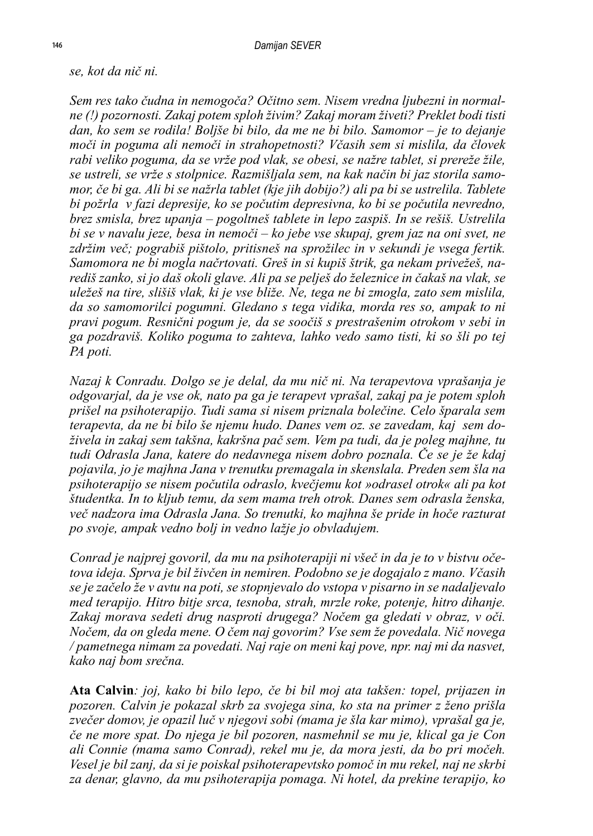*se, kot da nič ni.* 

*Sem res tako čudna in nemogoča? Očitno sem. Nisem vredna ljubezni in normalne (!) pozornosti. Zakaj potem sploh živim? Zakaj moram živeti? Preklet bodi tisti dan, ko sem se rodila! Boljše bi bilo, da me ne bi bilo. Samomor – je to dejanje moči in poguma ali nemoči in strahopetnosti? Včasih sem si mislila, da človek rabi veliko poguma, da se vrže pod vlak, se obesi, se nažre tablet, si prereže žile, se ustreli, se vrže s stolpnice. Razmišljala sem, na kak način bi jaz storila samomor, če bi ga. Ali bi se nažrla tablet (kje jih dobijo?) ali pa bi se ustrelila. Tablete bi požrla v fazi depresije, ko se počutim depresivna, ko bi se počutila nevredno, brez smisla, brez upanja – pogoltneš tablete in lepo zaspiš. In se rešiš. Ustrelila bi se v navalu jeze, besa in nemoči – ko jebe vse skupaj, grem jaz na oni svet, ne*  zdržim več; pograbiš pištolo, pritisneš na sprožilec in v sekundi je vsega fertik. *Samomora ne bi mogla načrtovati. Greš in si kupiš štrik, ga nekam privežeš, narediš zanko, si jo daš okoli glave. Ali pa se pelješ do železnice in čakaš na vlak, se uležeš na tire, slišiš vlak, ki je vse bliže. Ne, tega ne bi zmogla, zato sem mislila, da so samomorilci pogumni. Gledano s tega vidika, morda res so, ampak to ni pravi pogum. Resnični pogum je, da se soočiš s prestrašenim otrokom v sebi in ga pozdraviš. Koliko poguma to zahteva, lahko vedo samo tisti, ki so šli po tej PA poti.*

*Nazaj k Conradu. Dolgo se je delal, da mu nič ni. Na terapevtova vprašanja je odgovarjal, da je vse ok, nato pa ga je terapevt vprašal, zakaj pa je potem sploh prišel na psihoterapijo. Tudi sama si nisem priznala bolečine. Celo šparala sem terapevta, da ne bi bilo še njemu hudo. Danes vem oz. se zavedam, kaj sem doživela in zakaj sem takšna, kakršna pač sem. Vem pa tudi, da je poleg majhne, tu tudi Odrasla Jana, katere do nedavnega nisem dobro poznala. Če se je že kdaj pojavila, jo je majhna Jana v trenutku premagala in skenslala. Preden sem šla na psihoterapijo se nisem počutila odraslo, kvečjemu kot »odrasel otrok« ali pa kot študentka. In to kljub temu, da sem mama treh otrok. Danes sem odrasla ženska, več nadzora ima Odrasla Jana. So trenutki, ko majhna še pride in hoče razturat po svoje, ampak vedno bolj in vedno lažje jo obvladujem.*

*Conrad je najprej govoril, da mu na psihoterapiji ni všeč in da je to v bistvu očetova ideja. Sprva je bil živčen in nemiren. Podobno se je dogajalo z mano. Včasih se je začelo že v avtu na poti, se stopnjevalo do vstopa v pisarno in se nadaljevalo med terapijo. Hitro bitje srca, tesnoba, strah, mrzle roke, potenje, hitro dihanje. Zakaj morava sedeti drug nasproti drugega? Nočem ga gledati v obraz, v oči. Nočem, da on gleda mene. O čem naj govorim? Vse sem že povedala. Nič novega / pametnega nimam za povedati. Naj raje on meni kaj pove, npr. naj mi da nasvet, kako naj bom srečna.* 

**Ata Calvin***: joj, kako bi bilo lepo, če bi bil moj ata takšen: topel, prijazen in pozoren. Calvin je pokazal skrb za svojega sina, ko sta na primer z ženo prišla zvečer domov, je opazil luč v njegovi sobi (mama je šla kar mimo), vprašal ga je, če ne more spat. Do njega je bil pozoren, nasmehnil se mu je, klical ga je Con ali Connie (mama samo Conrad), rekel mu je, da mora jesti, da bo pri močeh. Vesel je bil zanj, da si je poiskal psihoterapevtsko pomoč in mu rekel, naj ne skrbi za denar, glavno, da mu psihoterapija pomaga. Ni hotel, da prekine terapijo, ko*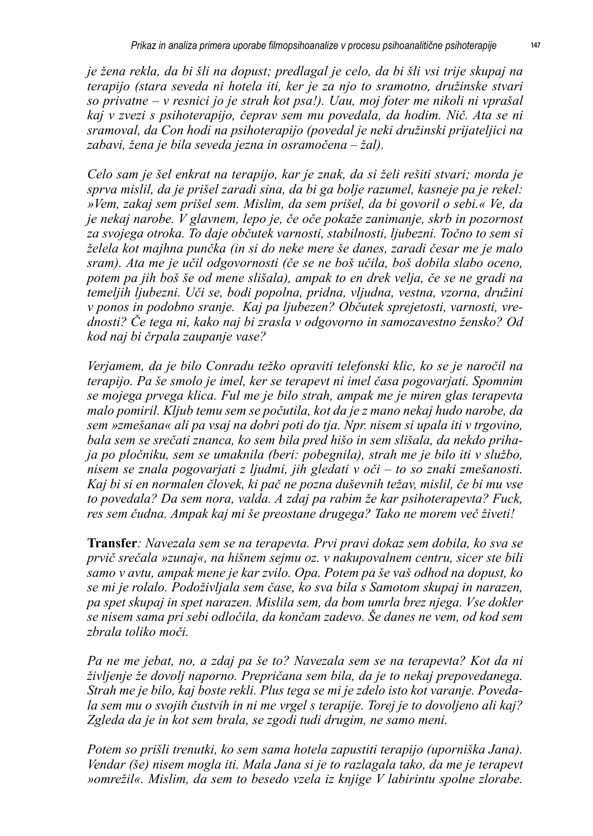*je žena rekla, da bi šli na dopust; predlagal je celo, da bi šli vsi trije skupaj na terapijo (stara seveda ni hotela iti, ker je za njo to sramotno, družinske stvari so privatne – v resnici jo je strah kot psa!). Uau, moj foter me nikoli ni vprašal kaj v zvezi s psihoterapijo, čeprav sem mu povedala, da hodim. Nič. Ata se ni sramoval, da Con hodi na psihoterapijo (povedal je neki družinski prijateljici na zabavi, žena je bila seveda jezna in osramočena – žal).* 

*Celo sam je šel enkrat na terapijo, kar je znak, da si želi rešiti stvari; morda je sprva mislil, da je prišel zaradi sina, da bi ga bolje razumel, kasneje pa je rekel: »Vem, zakaj sem prišel sem. Mislim, da sem prišel, da bi govoril o sebi.« Ve, da je nekaj narobe. V glavnem, lepo je, če oče pokaže zanimanje, skrb in pozornost za svojega otroka. To daje občutek varnosti, stabilnosti, ljubezni. Točno to sem si želela kot majhna punčka (in si do neke mere še danes, zaradi česar me je malo sram). Ata me je učil odgovornosti (če se ne boš učila, boš dobila slabo oceno, potem pa jih boš še od mene slišala), ampak to en drek velja, če se ne gradi na temeljih ljubezni. Uči se, bodi popolna, pridna, vljudna, vestna, vzorna, družini v ponos in podobno sranje. Kaj pa ljubezen? Občutek sprejetosti, varnosti, vrednosti? Če tega ni, kako naj bi zrasla v odgovorno in samozavestno žensko? Od kod naj bi črpala zaupanje vase?* 

*Verjamem, da je bilo Conradu težko opraviti telefonski klic, ko se je naročil na terapijo. Pa še smolo je imel, ker se terapevt ni imel časa pogovarjati. Spomnim se mojega prvega klica. Ful me je bilo strah, ampak me je miren glas terapevta malo pomiril. Kljub temu sem se počutila, kot da je z mano nekaj hudo narobe, da sem »zmešana« ali pa vsaj na dobri poti do tja. Npr. nisem si upala iti v trgovino, bala sem se srečati znanca, ko sem bila pred hišo in sem slišala, da nekdo prihaja po pločniku, sem se umaknila (beri: pobegnila), strah me je bilo iti v službo, nisem se znala pogovarjati z ljudmi, jih gledati v oči – to so znaki zmešanosti. Kaj bi si en normalen človek, ki pač ne pozna duševnih težav, mislil, če bi mu vse to povedala? Da sem nora, valda. A zdaj pa rabim že kar psihoterapevta? Fuck, res sem čudna. Ampak kaj mi še preostane drugega? Tako ne morem več živeti!* 

**Transfer***: Navezala sem se na terapevta. Prvi pravi dokaz sem dobila, ko sva se prvič srečala »zunaj«, na hišnem sejmu oz. v nakupovalnem centru, sicer ste bili samo v avtu, ampak mene je kar zvilo. Opa. Potem pa še vaš odhod na dopust, ko se mi je rolalo. Podoživljala sem čase, ko sva bila s Samotom skupaj in narazen, pa spet skupaj in spet narazen. Mislila sem, da bom umrla brez njega. Vse dokler se nisem sama pri sebi odločila, da končam zadevo. Še danes ne vem, od kod sem zbrala toliko moči.* 

*Pa ne me jebat, no, a zdaj pa še to? Navezala sem se na terapevta? Kot da ni življenje že dovolj naporno. Prepričana sem bila, da je to nekaj prepovedanega. Strah me je bilo, kaj boste rekli. Plus tega se mi je zdelo isto kot varanje. Povedala sem mu o svojih čustvih in ni me vrgel s terapije. Torej je to dovoljeno ali kaj? Zgleda da je in kot sem brala, se zgodi tudi drugim, ne samo meni.* 

*Potem so prišli trenutki, ko sem sama hotela zapustiti terapijo (uporniška Jana). Vendar (še) nisem mogla iti. Mala Jana si je to razlagala tako, da me je terapevt »omrežil«. Mislim, da sem to besedo vzela iz knjige V labirintu spolne zlorabe.*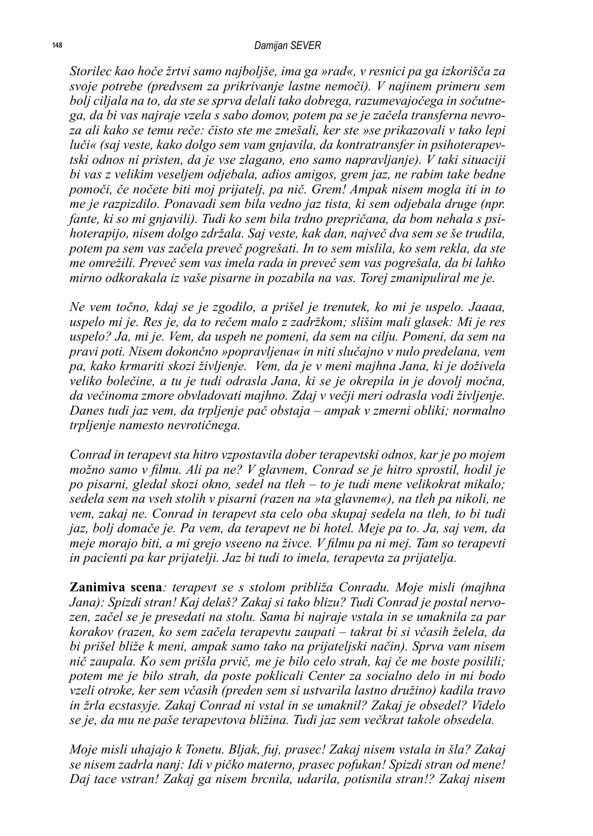*Storilec kao hoče žrtvi samo najboljše, ima ga »rad«, v resnici pa ga izkorišča za svoje potrebe (predvsem za prikrivanje lastne nemoči). V najinem primeru sem bolj ciljala na to, da ste se sprva delali tako dobrega, razumevajočega in sočutnega, da bi vas najraje vzela s sabo domov, potem pa se je začela transferna nevroza ali kako se temu reče: čisto ste me zmešali, ker ste »se prikazovali v tako lepi luči« (saj veste, kako dolgo sem vam gnjavila, da kontratransfer in psihoterapevtski odnos ni pristen, da je vse zlagano, eno samo napravljanje). V taki situaciji bi vas z velikim veseljem odjebala, adios amigos, grem jaz, ne rabim take bedne pomoči, če nočete biti moj prijatelj, pa nič. Grem! Ampak nisem mogla iti in to me je razpizdilo. Ponavadi sem bila vedno jaz tista, ki sem odjebala druge (npr. fante, ki so mi gnjavili). Tudi ko sem bila trdno prepričana, da bom nehala s psihoterapijo, nisem dolgo zdržala. Saj veste, kak dan, največ dva sem se še trudila, potem pa sem vas začela preveč pogrešati. In to sem mislila, ko sem rekla, da ste me omrežili. Preveč sem vas imela rada in preveč sem vas pogrešala, da bi lahko mirno odkorakala iz vaše pisarne in pozabila na vas. Torej zmanipuliral me je.* 

*Ne vem točno, kdaj se je zgodilo, a prišel je trenutek, ko mi je uspelo. Jaaaa, uspelo mi je. Res je, da to rečem malo z zadržkom; slišim mali glasek: Mi je res uspelo? Ja, mi je. Vem, da uspeh ne pomeni, da sem na cilju. Pomeni, da sem na pravi poti. Nisem dokončno »popravljena« in niti slučajno v nulo predelana, vem pa, kako krmariti skozi življenje. Vem, da je v meni majhna Jana, ki je doživela veliko bolečine, a tu je tudi odrasla Jana, ki se je okrepila in je dovolj močna, da večinoma zmore obvladovati majhno. Zdaj v večji meri odrasla vodi življenje. Danes tudi jaz vem, da trpljenje pač obstaja – ampak v zmerni obliki; normalno trpljenje namesto nevrotičnega.*

*Conrad in terapevt sta hitro vzpostavila dober terapevtski odnos, kar je po mojem možno samo v filmu. Ali pa ne? V glavnem, Conrad se je hitro sprostil, hodil je po pisarni, gledal skozi okno, sedel na tleh – to je tudi mene velikokrat mikalo; sedela sem na vseh stolih v pisarni (razen na »ta glavnem«), na tleh pa nikoli, ne vem, zakaj ne. Conrad in terapevt sta celo oba skupaj sedela na tleh, to bi tudi jaz, bolj domače je. Pa vem, da terapevt ne bi hotel. Meje pa to. Ja, saj vem, da meje morajo biti, a mi grejo vseeno na živce. V filmu pa ni mej. Tam so terapevti in pacienti pa kar prijatelji. Jaz bi tudi to imela, terapevta za prijatelja.*

**Zanimiva scena***: terapevt se s stolom približa Conradu. Moje misli (majhna Jana): Spizdi stran! Kaj delaš? Zakaj si tako blizu? Tudi Conrad je postal nervozen, začel se je presedati na stolu. Sama bi najraje vstala in se umaknila za par korakov (razen, ko sem začela terapevtu zaupati – takrat bi si včasih želela, da bi prišel bliže k meni, ampak samo tako na prijateljski način). Sprva vam nisem nič zaupala. Ko sem prišla prvič, me je bilo celo strah, kaj če me boste posilili; potem me je bilo strah, da poste poklicali Center za socialno delo in mi bodo vzeli otroke, ker sem včasih (preden sem si ustvarila lastno družino) kadila travo in žrla ecstasyje. Zakaj Conrad ni vstal in se umaknil? Zakaj je obsedel? Videlo se je, da mu ne paše terapevtova bližina. Tudi jaz sem večkrat takole obsedela.*

*Moje misli uhajajo k Tonetu. Bljak, fuj, prasec! Zakaj nisem vstala in šla? Zakaj se nisem zadrla nanj: Idi v pičko materno, prasec pofukan! Spizdi stran od mene! Daj tace vstran! Zakaj ga nisem brcnila, udarila, potisnila stran!? Zakaj nisem*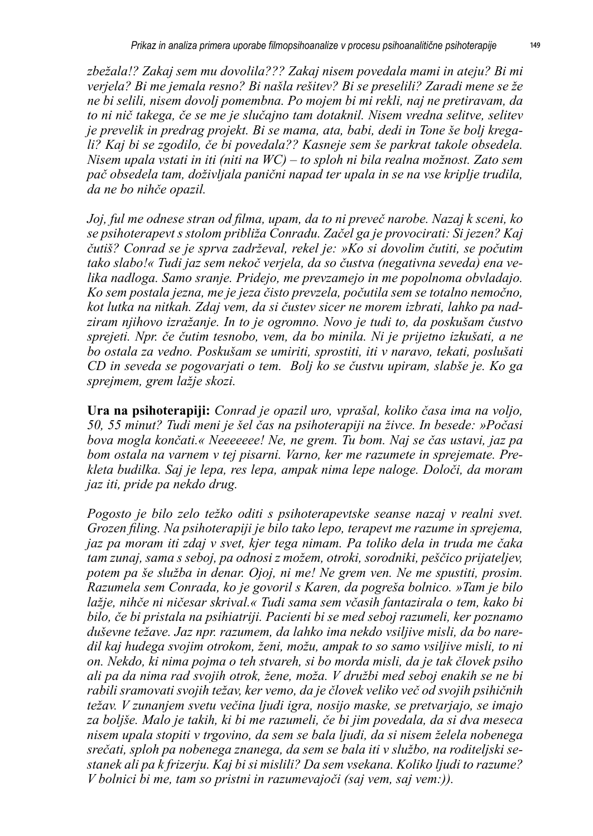*zbežala!? Zakaj sem mu dovolila??? Zakaj nisem povedala mami in ateju? Bi mi verjela? Bi me jemala resno? Bi našla rešitev? Bi se preselili? Zaradi mene se že ne bi selili, nisem dovolj pomembna. Po mojem bi mi rekli, naj ne pretiravam, da to ni nič takega, če se me je slučajno tam dotaknil. Nisem vredna selitve, selitev je prevelik in predrag projekt. Bi se mama, ata, babi, dedi in Tone še bolj kregali? Kaj bi se zgodilo, če bi povedala?? Kasneje sem še parkrat takole obsedela. Nisem upala vstati in iti (niti na WC) – to sploh ni bila realna možnost. Zato sem pač obsedela tam, doživljala panični napad ter upala in se na vse kriplje trudila, da ne bo nihče opazil.*

*Joj, ful me odnese stran od filma, upam, da to ni preveč narobe. Nazaj k sceni, ko se psihoterapevt s stolom približa Conradu. Začel ga je provocirati: Si jezen? Kaj čutiš? Conrad se je sprva zadrževal, rekel je: »Ko si dovolim čutiti, se počutim tako slabo!« Tudi jaz sem nekoč verjela, da so čustva (negativna seveda) ena velika nadloga. Samo sranje. Pridejo, me prevzamejo in me popolnoma obvladajo. Ko sem postala jezna, me je jeza čisto prevzela, počutila sem se totalno nemočno, kot lutka na nitkah. Zdaj vem, da si čustev sicer ne morem izbrati, lahko pa nadziram njihovo izražanje. In to je ogromno. Novo je tudi to, da poskušam čustvo sprejeti. Npr. če čutim tesnobo, vem, da bo minila. Ni je prijetno izkušati, a ne bo ostala za vedno. Poskušam se umiriti, sprostiti, iti v naravo, tekati, poslušati CD in seveda se pogovarjati o tem. Bolj ko se čustvu upiram, slabše je. Ko ga sprejmem, grem lažje skozi.* 

**Ura na psihoterapiji:** *Conrad je opazil uro, vprašal, koliko časa ima na voljo, 50, 55 minut? Tudi meni je šel čas na psihoterapiji na živce. In besede: »Počasi bova mogla končati.« Neeeeeee! Ne, ne grem. Tu bom. Naj se čas ustavi, jaz pa bom ostala na varnem v tej pisarni. Varno, ker me razumete in sprejemate. Prekleta budilka. Saj je lepa, res lepa, ampak nima lepe naloge. Določi, da moram jaz iti, pride pa nekdo drug.*

*Pogosto je bilo zelo težko oditi s psihoterapevtske seanse nazaj v realni svet. Grozen filing. Na psihoterapiji je bilo tako lepo, terapevt me razume in sprejema, jaz pa moram iti zdaj v svet, kjer tega nimam. Pa toliko dela in truda me čaka tam zunaj, sama s seboj, pa odnosi z možem, otroki, sorodniki, peščico prijateljev, potem pa še služba in denar. Ojoj, ni me! Ne grem ven. Ne me spustiti, prosim. Razumela sem Conrada, ko je govoril s Karen, da pogreša bolnico. »Tam je bilo lažje, nihče ni ničesar skrival.« Tudi sama sem včasih fantazirala o tem, kako bi bilo, če bi pristala na psihiatriji. Pacienti bi se med seboj razumeli, ker poznamo duševne težave. Jaz npr. razumem, da lahko ima nekdo vsiljive misli, da bo naredil kaj hudega svojim otrokom, ženi, možu, ampak to so samo vsiljive misli, to ni on. Nekdo, ki nima pojma o teh stvareh, si bo morda misli, da je tak človek psiho ali pa da nima rad svojih otrok, žene, moža. V družbi med seboj enakih se ne bi rabili sramovati svojih težav, ker vemo, da je človek veliko več od svojih psihičnih težav. V zunanjem svetu večina ljudi igra, nosijo maske, se pretvarjajo, se imajo za boljše. Malo je takih, ki bi me razumeli, če bi jim povedala, da si dva meseca nisem upala stopiti v trgovino, da sem se bala ljudi, da si nisem želela nobenega srečati, sploh pa nobenega znanega, da sem se bala iti v službo, na roditeljski sestanek ali pa k frizerju. Kaj bi si mislili? Da sem vsekana. Koliko ljudi to razume? V bolnici bi me, tam so pristni in razumevajoči (saj vem, saj vem:)).*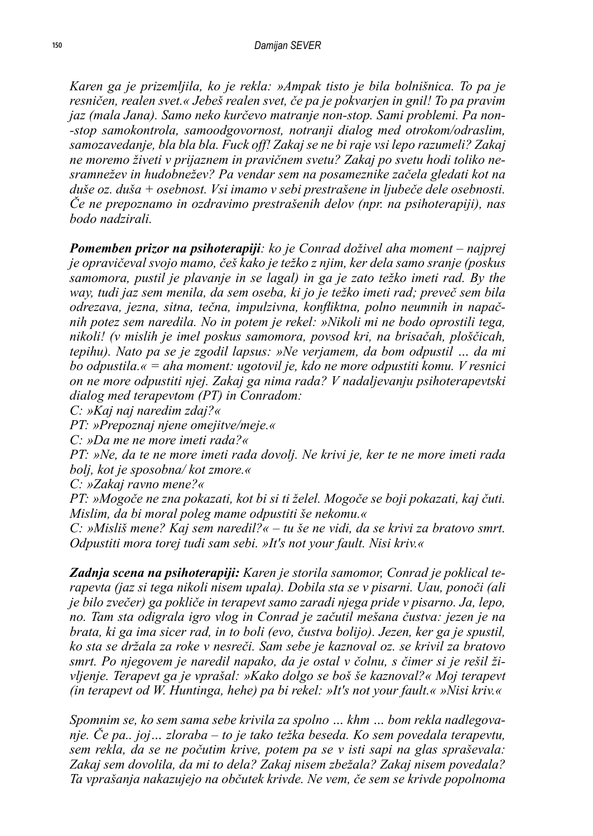*Karen ga je prizemljila, ko je rekla: »Ampak tisto je bila bolnišnica. To pa je resničen, realen svet.« Jebeš realen svet, če pa je pokvarjen in gnil! To pa pravim jaz (mala Jana). Samo neko kurčevo matranje non-stop. Sami problemi. Pa non- -stop samokontrola, samoodgovornost, notranji dialog med otrokom/odraslim, samozavedanje, bla bla bla. Fuck off! Zakaj se ne bi raje vsi lepo razumeli? Zakaj ne moremo živeti v prijaznem in pravičnem svetu? Zakaj po svetu hodi toliko nesramnežev in hudobnežev? Pa vendar sem na posameznike začela gledati kot na duše oz. duša + osebnost. Vsi imamo v sebi prestrašene in ljubeče dele osebnosti. Če ne prepoznamo in ozdravimo prestrašenih delov (npr. na psihoterapiji), nas bodo nadzirali.*

*Pomemben prizor na psihoterapiji: ko je Conrad doživel aha moment – najprej je opravičeval svojo mamo, češ kako je težko z njim, ker dela samo sranje (poskus samomora, pustil je plavanje in se lagal) in ga je zato težko imeti rad. By the way, tudi jaz sem menila, da sem oseba, ki jo je težko imeti rad; preveč sem bila odrezava, jezna, sitna, tečna, impulzivna, konfliktna, polno neumnih in napačnih potez sem naredila. No in potem je rekel: »Nikoli mi ne bodo oprostili tega, nikoli! (v mislih je imel poskus samomora, povsod kri, na brisačah, ploščicah, tepihu). Nato pa se je zgodil lapsus: »Ne verjamem, da bom odpustil … da mi bo odpustila.« = aha moment: ugotovil je, kdo ne more odpustiti komu. V resnici on ne more odpustiti njej. Zakaj ga nima rada? V nadaljevanju psihoterapevtski dialog med terapevtom (PT) in Conradom:*

*C: »Kaj naj naredim zdaj?«*

*PT: »Prepoznaj njene omejitve/meje.«*

*C: »Da me ne more imeti rada?«*

*PT: »Ne, da te ne more imeti rada dovolj. Ne krivi je, ker te ne more imeti rada bolj, kot je sposobna/ kot zmore.«*

*C: »Zakaj ravno mene?«*

*PT: »Mogoče ne zna pokazati, kot bi si ti želel. Mogoče se boji pokazati, kaj čuti. Mislim, da bi moral poleg mame odpustiti še nekomu.«*

*C: »Misliš mene? Kaj sem naredil?« – tu še ne vidi, da se krivi za bratovo smrt. Odpustiti mora torej tudi sam sebi. »It's not your fault. Nisi kriv.«*

*Zadnja scena na psihoterapiji: Karen je storila samomor, Conrad je poklical terapevta (jaz si tega nikoli nisem upala). Dobila sta se v pisarni. Uau, ponoči (ali je bilo zvečer) ga pokliče in terapevt samo zaradi njega pride v pisarno. Ja, lepo, no. Tam sta odigrala igro vlog in Conrad je začutil mešana čustva: jezen je na brata, ki ga ima sicer rad, in to boli (evo, čustva bolijo). Jezen, ker ga je spustil, ko sta se držala za roke v nesreči. Sam sebe je kaznoval oz. se krivil za bratovo smrt. Po njegovem je naredil napako, da je ostal v čolnu, s čimer si je rešil življenje. Terapevt ga je vprašal: »Kako dolgo se boš še kaznoval?« Moj terapevt (in terapevt od W. Huntinga, hehe) pa bi rekel: »It's not your fault.« »Nisi kriv.«*

*Spomnim se, ko sem sama sebe krivila za spolno … khm … bom rekla nadlegovanje. Če pa.. joj… zloraba – to je tako težka beseda. Ko sem povedala terapevtu, sem rekla, da se ne počutim krive, potem pa se v isti sapi na glas spraševala: Zakaj sem dovolila, da mi to dela? Zakaj nisem zbežala? Zakaj nisem povedala? Ta vprašanja nakazujejo na občutek krivde. Ne vem, če sem se krivde popolnoma*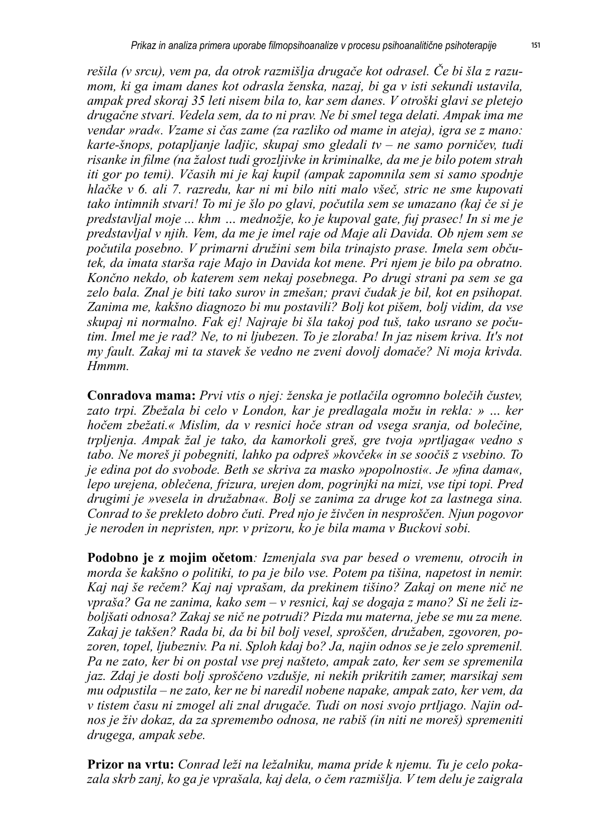*rešila (v srcu), vem pa, da otrok razmišlja drugače kot odrasel. Če bi šla z razumom, ki ga imam danes kot odrasla ženska, nazaj, bi ga v isti sekundi ustavila, ampak pred skoraj 35 leti nisem bila to, kar sem danes. V otroški glavi se pletejo drugačne stvari. Vedela sem, da to ni prav. Ne bi smel tega delati. Ampak ima me vendar »rad«. Vzame si čas zame (za razliko od mame in ateja), igra se z mano: karte-šnops, potapljanje ladjic, skupaj smo gledali tv – ne samo porničev, tudi risanke in filme (na žalost tudi grozljivke in kriminalke, da me je bilo potem strah iti gor po temi). Včasih mi je kaj kupil (ampak zapomnila sem si samo spodnje hlačke v 6. ali 7. razredu, kar ni mi bilo niti malo všeč, stric ne sme kupovati tako intimnih stvari! To mi je šlo po glavi, počutila sem se umazano (kaj če si je predstavljal moje ... khm … mednožje, ko je kupoval gate, fuj prasec! In si me je predstavljal v njih. Vem, da me je imel raje od Maje ali Davida. Ob njem sem se počutila posebno. V primarni družini sem bila trinajsto prase. Imela sem občutek, da imata starša raje Majo in Davida kot mene. Pri njem je bilo pa obratno. Končno nekdo, ob katerem sem nekaj posebnega. Po drugi strani pa sem se ga zelo bala. Znal je biti tako surov in zmešan; pravi čudak je bil, kot en psihopat. Zanima me, kakšno diagnozo bi mu postavili? Bolj kot pišem, bolj vidim, da vse skupaj ni normalno. Fak ej! Najraje bi šla takoj pod tuš, tako usrano se počutim. Imel me je rad? Ne, to ni ljubezen. To je zloraba! In jaz nisem kriva. It's not my fault. Zakaj mi ta stavek še vedno ne zveni dovolj domače? Ni moja krivda. Hmmm.*

**Conradova mama:** *Prvi vtis o njej: ženska je potlačila ogromno bolečih čustev, zato trpi. Zbežala bi celo v London, kar je predlagala možu in rekla: » … ker hočem zbežati.« Mislim, da v resnici hoče stran od vsega sranja, od bolečine, trpljenja. Ampak žal je tako, da kamorkoli greš, gre tvoja »prtljaga« vedno s tabo. Ne moreš ji pobegniti, lahko pa odpreš »kovček« in se soočiš z vsebino. To je edina pot do svobode. Beth se skriva za masko »popolnosti«. Je »fina dama«, lepo urejena, oblečena, frizura, urejen dom, pogrinjki na mizi, vse tipi topi. Pred drugimi je »vesela in družabna«. Bolj se zanima za druge kot za lastnega sina. Conrad to še prekleto dobro čuti. Pred njo je živčen in nesproščen. Njun pogovor je neroden in nepristen, npr. v prizoru, ko je bila mama v Buckovi sobi.* 

**Podobno je z mojim očetom***: Izmenjala sva par besed o vremenu, otrocih in morda še kakšno o politiki, to pa je bilo vse. Potem pa tišina, napetost in nemir. Kaj naj še rečem? Kaj naj vprašam, da prekinem tišino? Zakaj on mene nič ne vpraša? Ga ne zanima, kako sem – v resnici, kaj se dogaja z mano? Si ne želi izboljšati odnosa? Zakaj se nič ne potrudi? Pizda mu materna, jebe se mu za mene. Zakaj je takšen? Rada bi, da bi bil bolj vesel, sproščen, družaben, zgovoren, pozoren, topel, ljubezniv. Pa ni. Sploh kdaj bo? Ja, najin odnos se je zelo spremenil. Pa ne zato, ker bi on postal vse prej našteto, ampak zato, ker sem se spremenila jaz. Zdaj je dosti bolj sproščeno vzdušje, ni nekih prikritih zamer, marsikaj sem mu odpustila – ne zato, ker ne bi naredil nobene napake, ampak zato, ker vem, da v tistem času ni zmogel ali znal drugače. Tudi on nosi svojo prtljago. Najin odnos je živ dokaz, da za spremembo odnosa, ne rabiš (in niti ne moreš) spremeniti drugega, ampak sebe.* 

**Prizor na vrtu:** *Conrad leži na ležalniku, mama pride k njemu. Tu je celo pokazala skrb zanj, ko ga je vprašala, kaj dela, o čem razmišlja. V tem delu je zaigrala*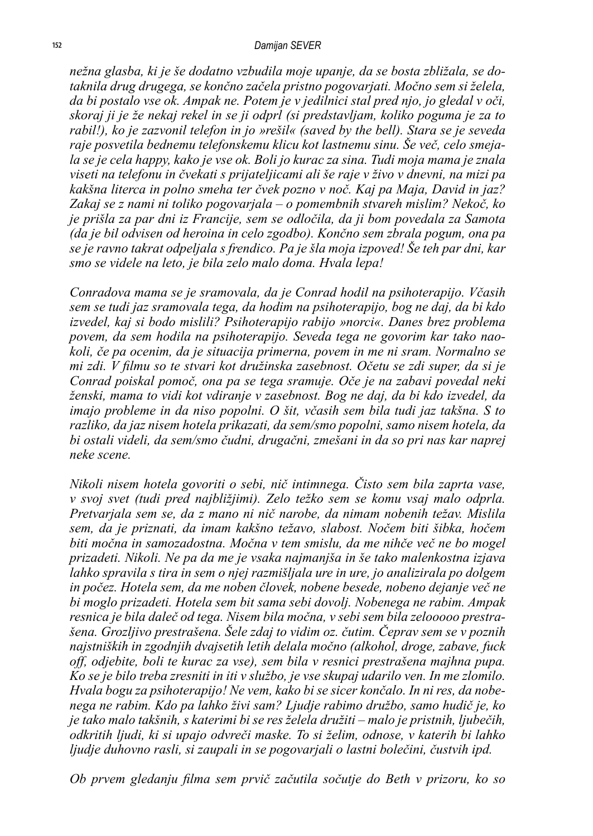*nežna glasba, ki je še dodatno vzbudila moje upanje, da se bosta zbližala, se dotaknila drug drugega, se končno začela pristno pogovarjati. Močno sem si želela, da bi postalo vse ok. Ampak ne. Potem je v jedilnici stal pred njo, jo gledal v oči, skoraj ji je že nekaj rekel in se ji odprl (si predstavljam, koliko poguma je za to rabil!), ko je zazvonil telefon in jo »rešil« (saved by the bell). Stara se je seveda raje posvetila bednemu telefonskemu klicu kot lastnemu sinu. Še več, celo smejala se je cela happy, kako je vse ok. Boli jo kurac za sina. Tudi moja mama je znala viseti na telefonu in čvekati s prijateljicami ali še raje v živo v dnevni, na mizi pa kakšna literca in polno smeha ter čvek pozno v noč. Kaj pa Maja, David in jaz? Zakaj se z nami ni toliko pogovarjala – o pomembnih stvareh mislim? Nekoč, ko je prišla za par dni iz Francije, sem se odločila, da ji bom povedala za Samota (da je bil odvisen od heroina in celo zgodbo). Končno sem zbrala pogum, ona pa se je ravno takrat odpeljala s frendico. Pa je šla moja izpoved! Še teh par dni, kar smo se videle na leto, je bila zelo malo doma. Hvala lepa!*

*Conradova mama se je sramovala, da je Conrad hodil na psihoterapijo. Včasih sem se tudi jaz sramovala tega, da hodim na psihoterapijo, bog ne daj, da bi kdo izvedel, kaj si bodo mislili? Psihoterapijo rabijo »norci«. Danes brez problema povem, da sem hodila na psihoterapijo. Seveda tega ne govorim kar tako naokoli, če pa ocenim, da je situacija primerna, povem in me ni sram. Normalno se mi zdi. V filmu so te stvari kot družinska zasebnost. Očetu se zdi super, da si je Conrad poiskal pomoč, ona pa se tega sramuje. Oče je na zabavi povedal neki ženski, mama to vidi kot vdiranje v zasebnost. Bog ne daj, da bi kdo izvedel, da imajo probleme in da niso popolni. O šit, včasih sem bila tudi jaz takšna. S to razliko, da jaz nisem hotela prikazati, da sem/smo popolni, samo nisem hotela, da bi ostali videli, da sem/smo čudni, drugačni, zmešani in da so pri nas kar naprej neke scene.* 

*Nikoli nisem hotela govoriti o sebi, nič intimnega. Čisto sem bila zaprta vase, v svoj svet (tudi pred najbližjimi). Zelo težko sem se komu vsaj malo odprla. Pretvarjala sem se, da z mano ni nič narobe, da nimam nobenih težav. Mislila sem, da je priznati, da imam kakšno težavo, slabost. Nočem biti šibka, hočem biti močna in samozadostna. Močna v tem smislu, da me nihče več ne bo mogel prizadeti. Nikoli. Ne pa da me je vsaka najmanjša in še tako malenkostna izjava lahko spravila s tira in sem o njej razmišljala ure in ure, jo analizirala po dolgem in počez. Hotela sem, da me noben človek, nobene besede, nobeno dejanje več ne bi moglo prizadeti. Hotela sem bit sama sebi dovolj. Nobenega ne rabim. Ampak resnica je bila daleč od tega. Nisem bila močna, v sebi sem bila zelooooo prestrašena. Grozljivo prestrašena. Šele zdaj to vidim oz. čutim. Čeprav sem se v poznih najstniških in zgodnjih dvajsetih letih delala močno (alkohol, droge, zabave, fuck off, odjebite, boli te kurac za vse), sem bila v resnici prestrašena majhna pupa. Ko se je bilo treba zresniti in iti v službo, je vse skupaj udarilo ven. In me zlomilo. Hvala bogu za psihoterapijo! Ne vem, kako bi se sicer končalo. In ni res, da nobenega ne rabim. Kdo pa lahko živi sam? Ljudje rabimo družbo, samo hudič je, ko je tako malo takšnih, s katerimi bi se res želela družiti – malo je pristnih, ljubečih, odkritih ljudi, ki si upajo odvreči maske. To si želim, odnose, v katerih bi lahko ljudje duhovno rasli, si zaupali in se pogovarjali o lastni bolečini, čustvih ipd.*

*Ob prvem gledanju filma sem prvič začutila sočutje do Beth v prizoru, ko so*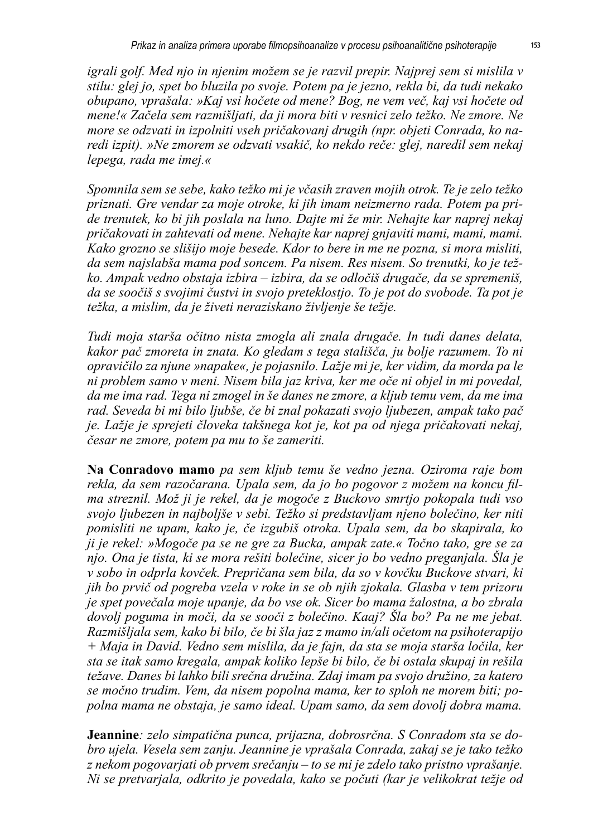*igrali golf. Med njo in njenim možem se je razvil prepir. Najprej sem si mislila v stilu: glej jo, spet bo bluzila po svoje. Potem pa je jezno, rekla bi, da tudi nekako obupano, vprašala: »Kaj vsi hočete od mene? Bog, ne vem več, kaj vsi hočete od mene!« Začela sem razmišljati, da ji mora biti v resnici zelo težko. Ne zmore. Ne more se odzvati in izpolniti vseh pričakovanj drugih (npr. objeti Conrada, ko naredi izpit). »Ne zmorem se odzvati vsakič, ko nekdo reče: glej, naredil sem nekaj lepega, rada me imej.«*

*Spomnila sem se sebe, kako težko mi je včasih zraven mojih otrok. Te je zelo težko priznati. Gre vendar za moje otroke, ki jih imam neizmerno rada. Potem pa pride trenutek, ko bi jih poslala na luno. Dajte mi že mir. Nehajte kar naprej nekaj pričakovati in zahtevati od mene. Nehajte kar naprej gnjaviti mami, mami, mami. Kako grozno se slišijo moje besede. Kdor to bere in me ne pozna, si mora misliti, da sem najslabša mama pod soncem. Pa nisem. Res nisem. So trenutki, ko je težko. Ampak vedno obstaja izbira – izbira, da se odločiš drugače, da se spremeniš, da se soočiš s svojimi čustvi in svojo preteklostjo. To je pot do svobode. Ta pot je težka, a mislim, da je živeti neraziskano življenje še težje.*

*Tudi moja starša očitno nista zmogla ali znala drugače. In tudi danes delata, kakor pač zmoreta in znata. Ko gledam s tega stališča, ju bolje razumem. To ni opravičilo za njune »napake«, je pojasnilo. Lažje mi je, ker vidim, da morda pa le ni problem samo v meni. Nisem bila jaz kriva, ker me oče ni objel in mi povedal, da me ima rad. Tega ni zmogel in še danes ne zmore, a kljub temu vem, da me ima rad. Seveda bi mi bilo ljubše, če bi znal pokazati svojo ljubezen, ampak tako pač je. Lažje je sprejeti človeka takšnega kot je, kot pa od njega pričakovati nekaj, česar ne zmore, potem pa mu to še zameriti.*

**Na Conradovo mamo** *pa sem kljub temu še vedno jezna. Oziroma raje bom rekla, da sem razočarana. Upala sem, da jo bo pogovor z možem na koncu filma streznil. Mož ji je rekel, da je mogoče z Buckovo smrtjo pokopala tudi vso svojo ljubezen in najboljše v sebi. Težko si predstavljam njeno bolečino, ker niti pomisliti ne upam, kako je, če izgubiš otroka. Upala sem, da bo skapirala, ko ji je rekel: »Mogoče pa se ne gre za Bucka, ampak zate.« Točno tako, gre se za njo. Ona je tista, ki se mora rešiti bolečine, sicer jo bo vedno preganjala. Šla je v sobo in odprla kovček. Prepričana sem bila, da so v kovčku Buckove stvari, ki jih bo prvič od pogreba vzela v roke in se ob njih zjokala. Glasba v tem prizoru je spet povečala moje upanje, da bo vse ok. Sicer bo mama žalostna, a bo zbrala dovolj poguma in moči, da se sooči z bolečino. Kaaj? Šla bo? Pa ne me jebat. Razmišljala sem, kako bi bilo, če bi šla jaz z mamo in/ali očetom na psihoterapijo + Maja in David. Vedno sem mislila, da je fajn, da sta se moja starša ločila, ker sta se itak samo kregala, ampak koliko lepše bi bilo, če bi ostala skupaj in rešila težave. Danes bi lahko bili srečna družina. Zdaj imam pa svojo družino, za katero se močno trudim. Vem, da nisem popolna mama, ker to sploh ne morem biti; popolna mama ne obstaja, je samo ideal. Upam samo, da sem dovolj dobra mama.*

**Jeannine***: zelo simpatična punca, prijazna, dobrosrčna. S Conradom sta se dobro ujela. Vesela sem zanju. Jeannine je vprašala Conrada, zakaj se je tako težko z nekom pogovarjati ob prvem srečanju – to se mi je zdelo tako pristno vprašanje. Ni se pretvarjala, odkrito je povedala, kako se počuti (kar je velikokrat težje od*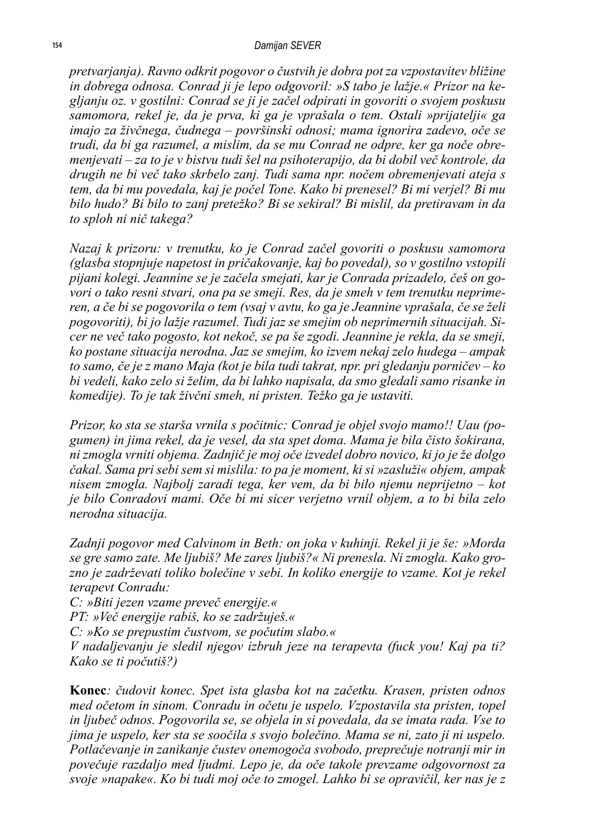*pretvarjanja). Ravno odkrit pogovor o čustvih je dobra pot za vzpostavitev bližine in dobrega odnosa. Conrad ji je lepo odgovoril: »S tabo je lažje.« Prizor na kegljanju oz. v gostilni: Conrad se ji je začel odpirati in govoriti o svojem poskusu samomora, rekel je, da je prva, ki ga je vprašala o tem. Ostali »prijatelji« ga imajo za živčnega, čudnega – površinski odnosi; mama ignorira zadevo, oče se trudi, da bi ga razumel, a mislim, da se mu Conrad ne odpre, ker ga noče obremenjevati – za to je v bistvu tudi šel na psihoterapijo, da bi dobil več kontrole, da drugih ne bi več tako skrbelo zanj. Tudi sama npr. nočem obremenjevati ateja s tem, da bi mu povedala, kaj je počel Tone. Kako bi prenesel? Bi mi verjel? Bi mu bilo hudo? Bi bilo to zanj pretežko? Bi se sekiral? Bi mislil, da pretiravam in da to sploh ni nič takega?*

*Nazaj k prizoru: v trenutku, ko je Conrad začel govoriti o poskusu samomora (glasba stopnjuje napetost in pričakovanje, kaj bo povedal), so v gostilno vstopili pijani kolegi. Jeannine se je začela smejati, kar je Conrada prizadelo, češ on govori o tako resni stvari, ona pa se smeji. Res, da je smeh v tem trenutku neprimeren, a če bi se pogovorila o tem (vsaj v avtu, ko ga je Jeannine vprašala, če se želi pogovoriti), bi jo lažje razumel. Tudi jaz se smejim ob neprimernih situacijah. Sicer ne več tako pogosto, kot nekoč, se pa še zgodi. Jeannine je rekla, da se smeji, ko postane situacija nerodna. Jaz se smejim, ko izvem nekaj zelo hudega – ampak to samo, če je z mano Maja (kot je bila tudi takrat, npr. pri gledanju porničev – ko bi vedeli, kako zelo si želim, da bi lahko napisala, da smo gledali samo risanke in komedije). To je tak živčni smeh, ni pristen. Težko ga je ustaviti.*

*Prizor, ko sta se starša vrnila s počitnic: Conrad je objel svojo mamo!! Uau (pogumen) in jima rekel, da je vesel, da sta spet doma. Mama je bila čisto šokirana, ni zmogla vrniti objema. Zadnjič je moj oče izvedel dobro novico, ki jo je že dolgo čakal. Sama pri sebi sem si mislila: to pa je moment, ki si »zasluži« objem, ampak nisem zmogla. Najbolj zaradi tega, ker vem, da bi bilo njemu neprijetno – kot je bilo Conradovi mami. Oče bi mi sicer verjetno vrnil objem, a to bi bila zelo nerodna situacija.*

*Zadnji pogovor med Calvinom in Beth: on joka v kuhinji. Rekel ji je še: »Morda se gre samo zate. Me ljubiš? Me zares ljubiš?« Ni prenesla. Ni zmogla. Kako grozno je zadrževati toliko bolečine v sebi. In koliko energije to vzame. Kot je rekel terapevt Conradu:*

*C: »Biti jezen vzame preveč energije.«*

*PT: »Več energije rabiš, ko se zadržuješ.«*

*C: »Ko se prepustim čustvom, se počutim slabo.«*

*V nadaljevanju je sledil njegov izbruh jeze na terapevta (fuck you! Kaj pa ti? Kako se ti počutiš?)*

**Konec***: čudovit konec. Spet ista glasba kot na začetku. Krasen, pristen odnos med očetom in sinom. Conradu in očetu je uspelo. Vzpostavila sta pristen, topel in ljubeč odnos. Pogovorila se, se objela in si povedala, da se imata rada. Vse to jima je uspelo, ker sta se soočila s svojo bolečino. Mama se ni, zato ji ni uspelo. Potlačevanje in zanikanje čustev onemogoča svobodo, preprečuje notranji mir in povečuje razdaljo med ljudmi. Lepo je, da oče takole prevzame odgovornost za svoje »napake«. Ko bi tudi moj oče to zmogel. Lahko bi se opravičil, ker nas je z*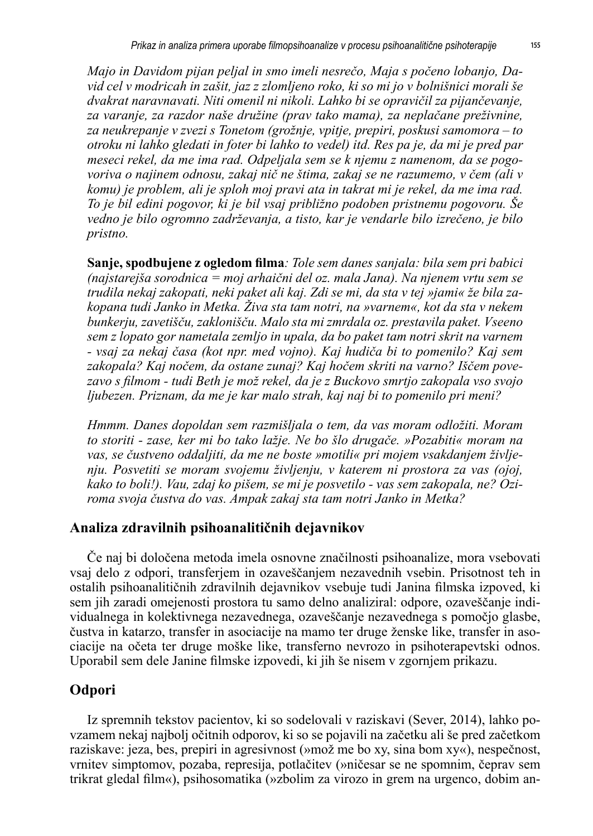*Majo in Davidom pijan peljal in smo imeli nesrečo, Maja s počeno lobanjo, David cel v modricah in zašit, jaz z zlomljeno roko, ki so mi jo v bolnišnici morali še dvakrat naravnavati. Niti omenil ni nikoli. Lahko bi se opravičil za pijančevanje, za varanje, za razdor naše družine (prav tako mama), za neplačane preživnine, za neukrepanje v zvezi s Tonetom (grožnje, vpitje, prepiri, poskusi samomora – to otroku ni lahko gledati in foter bi lahko to vedel) itd. Res pa je, da mi je pred par meseci rekel, da me ima rad. Odpeljala sem se k njemu z namenom, da se pogovoriva o najinem odnosu, zakaj nič ne štima, zakaj se ne razumemo, v čem (ali v komu) je problem, ali je sploh moj pravi ata in takrat mi je rekel, da me ima rad. To je bil edini pogovor, ki je bil vsaj približno podoben pristnemu pogovoru. Še vedno je bilo ogromno zadrževanja, a tisto, kar je vendarle bilo izrečeno, je bilo pristno.*

**Sanje, spodbujene z ogledom filma***: Tole sem danes sanjala: bila sem pri babici (najstarejša sorodnica = moj arhaični del oz. mala Jana). Na njenem vrtu sem se trudila nekaj zakopati, neki paket ali kaj. Zdi se mi, da sta v tej »jami« že bila zakopana tudi Janko in Metka. Živa sta tam notri, na »varnem«, kot da sta v nekem bunkerju, zavetišču, zaklonišču. Malo sta mi zmrdala oz. prestavila paket. Vseeno sem z lopato gor nametala zemljo in upala, da bo paket tam notri skrit na varnem - vsaj za nekaj časa (kot npr. med vojno). Kaj hudiča bi to pomenilo? Kaj sem zakopala? Kaj nočem, da ostane zunaj? Kaj hočem skriti na varno? Iščem povezavo s filmom - tudi Beth je mož rekel, da je z Buckovo smrtjo zakopala vso svojo ljubezen. Priznam, da me je kar malo strah, kaj naj bi to pomenilo pri meni?*

*Hmmm. Danes dopoldan sem razmišljala o tem, da vas moram odložiti. Moram to storiti - zase, ker mi bo tako lažje. Ne bo šlo drugače. »Pozabiti« moram na vas, se čustveno oddaljiti, da me ne boste »motili« pri mojem vsakdanjem življenju. Posvetiti se moram svojemu življenju, v katerem ni prostora za vas (ojoj, kako to boli!). Vau, zdaj ko pišem, se mi je posvetilo - vas sem zakopala, ne? Oziroma svoja čustva do vas. Ampak zakaj sta tam notri Janko in Metka?*

#### **Analiza zdravilnih psihoanalitičnih dejavnikov**

Če naj bi določena metoda imela osnovne značilnosti psihoanalize, mora vsebovati vsaj delo z odpori, transferjem in ozaveščanjem nezavednih vsebin. Prisotnost teh in ostalih psihoanalitičnih zdravilnih dejavnikov vsebuje tudi Janina filmska izpoved, ki sem jih zaradi omejenosti prostora tu samo delno analiziral: odpore, ozaveščanje individualnega in kolektivnega nezavednega, ozaveščanje nezavednega s pomočjo glasbe, čustva in katarzo, transfer in asociacije na mamo ter druge ženske like, transfer in asociacije na očeta ter druge moške like, transferno nevrozo in psihoterapevtski odnos. Uporabil sem dele Janine filmske izpovedi, ki jih še nisem v zgornjem prikazu.

#### **Odpori**

Iz spremnih tekstov pacientov, ki so sodelovali v raziskavi (Sever, 2014), lahko povzamem nekaj najbolj očitnih odporov, ki so se pojavili na začetku ali še pred začetkom raziskave: jeza, bes, prepiri in agresivnost (»mož me bo xy, sina bom xy«), nespečnost, vrnitev simptomov, pozaba, represija, potlačitev (»ničesar se ne spomnim, čeprav sem trikrat gledal film«), psihosomatika (»zbolim za virozo in grem na urgenco, dobim an-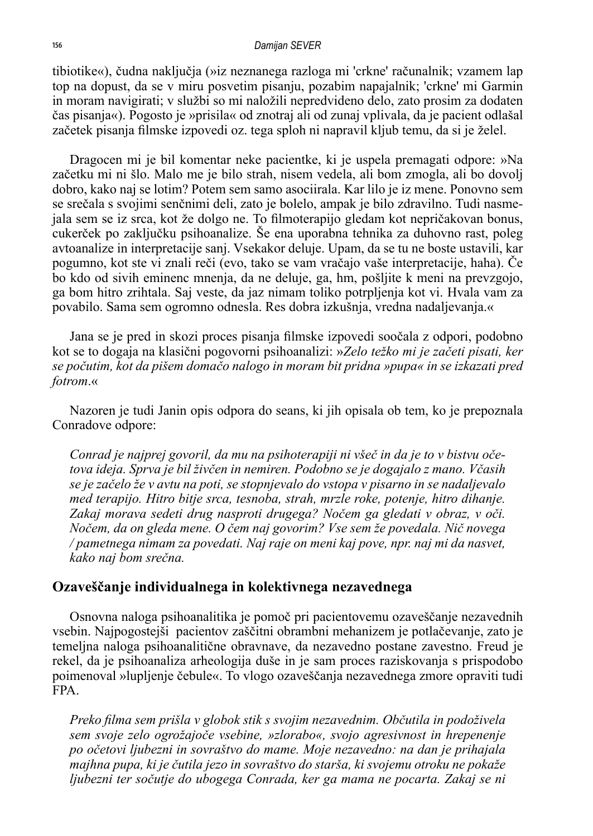#### *Damijan SEVER*

tibiotike«), čudna naključja (»iz neznanega razloga mi 'crkne' računalnik; vzamem lap top na dopust, da se v miru posvetim pisanju, pozabim napajalnik; 'crkne' mi Garmin in moram navigirati; v službi so mi naložili nepredvideno delo, zato prosim za dodaten čas pisanja«). Pogosto je »prisila« od znotraj ali od zunaj vplivala, da je pacient odlašal začetek pisanja filmske izpovedi oz. tega sploh ni napravil kljub temu, da si je želel.

Dragocen mi je bil komentar neke pacientke, ki je uspela premagati odpore: »Na začetku mi ni šlo. Malo me je bilo strah, nisem vedela, ali bom zmogla, ali bo dovolj dobro, kako naj se lotim? Potem sem samo asociirala. Kar lilo je iz mene. Ponovno sem se srečala s svojimi senčnimi deli, zato je bolelo, ampak je bilo zdravilno. Tudi nasmejala sem se iz srca, kot že dolgo ne. To filmoterapijo gledam kot nepričakovan bonus, cukerček po zaključku psihoanalize. Še ena uporabna tehnika za duhovno rast, poleg avtoanalize in interpretacije sanj. Vsekakor deluje. Upam, da se tu ne boste ustavili, kar pogumno, kot ste vi znali reči (evo, tako se vam vračajo vaše interpretacije, haha). Če bo kdo od sivih eminenc mnenja, da ne deluje, ga, hm, pošljite k meni na prevzgojo, ga bom hitro zrihtala. Saj veste, da jaz nimam toliko potrpljenja kot vi. Hvala vam za povabilo. Sama sem ogromno odnesla. Res dobra izkušnja, vredna nadaljevanja.«

Jana se je pred in skozi proces pisanja filmske izpovedi soočala z odpori, podobno kot se to dogaja na klasični pogovorni psihoanalizi: »*Zelo težko mi je začeti pisati, ker se počutim, kot da pišem domačo nalogo in moram bit pridna »pupa« in se izkazati pred fotrom*.«

Nazoren je tudi Janin opis odpora do seans, ki jih opisala ob tem, ko je prepoznala Conradove odpore:

*Conrad je najprej govoril, da mu na psihoterapiji ni všeč in da je to v bistvu očetova ideja. Sprva je bil živčen in nemiren. Podobno se je dogajalo z mano. Včasih se je začelo že v avtu na poti, se stopnjevalo do vstopa v pisarno in se nadaljevalo med terapijo. Hitro bitje srca, tesnoba, strah, mrzle roke, potenje, hitro dihanje. Zakaj morava sedeti drug nasproti drugega? Nočem ga gledati v obraz, v oči. Nočem, da on gleda mene. O čem naj govorim? Vse sem že povedala. Nič novega / pametnega nimam za povedati. Naj raje on meni kaj pove, npr. naj mi da nasvet, kako naj bom srečna.* 

#### **Ozaveščanje individualnega in kolektivnega nezavednega**

Osnovna naloga psihoanalitika je pomoč pri pacientovemu ozaveščanje nezavednih vsebin. Najpogostejši pacientov zaščitni obrambni mehanizem je potlačevanje, zato je temeljna naloga psihoanalitične obravnave, da nezavedno postane zavestno. Freud je rekel, da je psihoanaliza arheologija duše in je sam proces raziskovanja s prispodobo poimenoval »lupljenje čebule«. To vlogo ozaveščanja nezavednega zmore opraviti tudi FPA.

*Preko filma sem prišla v globok stik s svojim nezavednim. Občutila in podoživela sem svoje zelo ogrožajoče vsebine, »zlorabo«, svojo agresivnost in hrepenenje po očetovi ljubezni in sovraštvo do mame. Moje nezavedno: na dan je prihajala majhna pupa, ki je čutila jezo in sovraštvo do starša, ki svojemu otroku ne pokaže ljubezni ter sočutje do ubogega Conrada, ker ga mama ne pocarta. Zakaj se ni*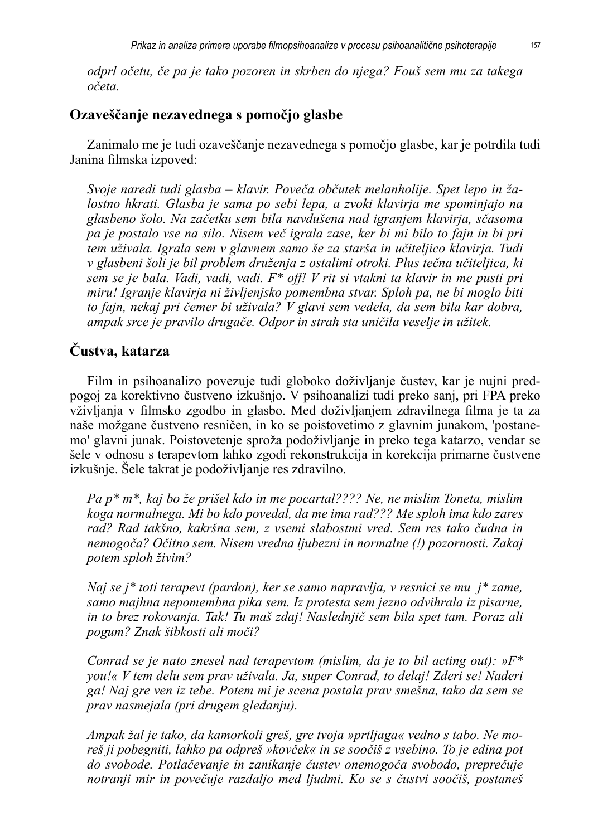*odprl očetu, če pa je tako pozoren in skrben do njega? Fouš sem mu za takega očeta.*

#### **Ozaveščanje nezavednega s pomočjo glasbe**

Zanimalo me je tudi ozaveščanje nezavednega s pomočjo glasbe, kar je potrdila tudi Janina filmska izpoved:

*Svoje naredi tudi glasba – klavir. Poveča občutek melanholije. Spet lepo in žalostno hkrati. Glasba je sama po sebi lepa, a zvoki klavirja me spominjajo na glasbeno šolo. Na začetku sem bila navdušena nad igranjem klavirja, sčasoma pa je postalo vse na silo. Nisem več igrala zase, ker bi mi bilo to fajn in bi pri tem uživala. Igrala sem v glavnem samo še za starša in učiteljico klavirja. Tudi v glasbeni šoli je bil problem druženja z ostalimi otroki. Plus tečna učiteljica, ki sem se je bala. Vadi, vadi, vadi. F\* off! V rit si vtakni ta klavir in me pusti pri miru! Igranje klavirja ni življenjsko pomembna stvar. Sploh pa, ne bi moglo biti to fajn, nekaj pri čemer bi uživala? V glavi sem vedela, da sem bila kar dobra, ampak srce je pravilo drugače. Odpor in strah sta uničila veselje in užitek.*

## **Čustva, katarza**

Film in psihoanalizo povezuje tudi globoko doživljanje čustev, kar je nujni predpogoj za korektivno čustveno izkušnjo. V psihoanalizi tudi preko sanj, pri FPA preko vživljanja v filmsko zgodbo in glasbo. Med doživljanjem zdravilnega filma je ta za naše možgane čustveno resničen, in ko se poistovetimo z glavnim junakom, 'postanemo' glavni junak. Poistovetenje sproža podoživljanje in preko tega katarzo, vendar se šele v odnosu s terapevtom lahko zgodi rekonstrukcija in korekcija primarne čustvene izkušnje. Šele takrat je podoživljanje res zdravilno.

*Pa p\* m\*, kaj bo že prišel kdo in me pocartal???? Ne, ne mislim Toneta, mislim koga normalnega. Mi bo kdo povedal, da me ima rad??? Me sploh ima kdo zares rad? Rad takšno, kakršna sem, z vsemi slabostmi vred. Sem res tako čudna in nemogoča? Očitno sem. Nisem vredna ljubezni in normalne (!) pozornosti. Zakaj potem sploh živim?*

*Naj se j\* toti terapevt (pardon), ker se samo napravlja, v resnici se mu j\* zame, samo majhna nepomembna pika sem. Iz protesta sem jezno odvihrala iz pisarne, in to brez rokovanja. Tak! Tu maš zdaj! Naslednjič sem bila spet tam. Poraz ali pogum? Znak šibkosti ali moči?*

*Conrad se je nato znesel nad terapevtom (mislim, da je to bil acting out): »F\* you!« V tem delu sem prav uživala. Ja, super Conrad, to delaj! Zderi se! Naderi ga! Naj gre ven iz tebe. Potem mi je scena postala prav smešna, tako da sem se prav nasmejala (pri drugem gledanju).*

*Ampak žal je tako, da kamorkoli greš, gre tvoja »prtljaga« vedno s tabo. Ne moreš ji pobegniti, lahko pa odpreš »kovček« in se soočiš z vsebino. To je edina pot do svobode. Potlačevanje in zanikanje čustev onemogoča svobodo, preprečuje notranji mir in povečuje razdaljo med ljudmi. Ko se s čustvi soočiš, postaneš*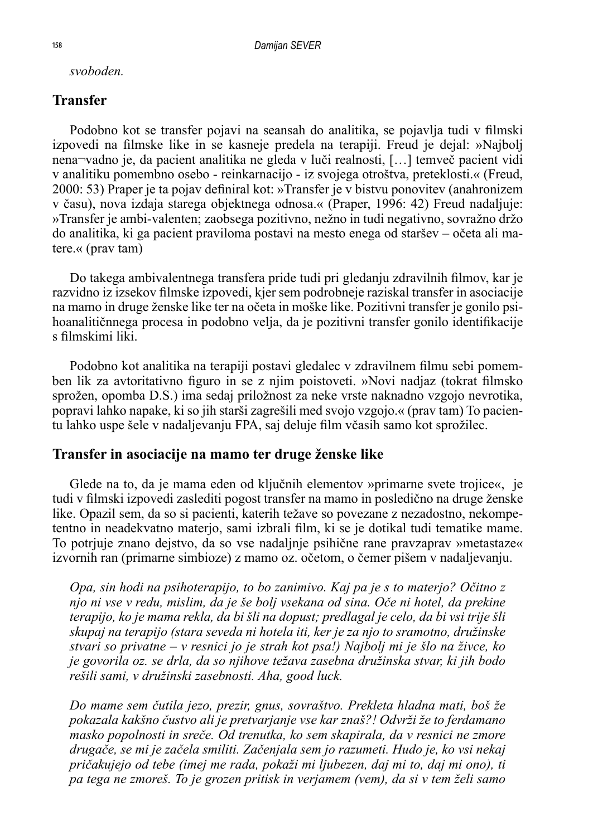*svoboden.*

#### **Transfer**

Podobno kot se transfer pojavi na seansah do analitika, se pojavlja tudi v filmski izpovedi na filmske like in se kasneje predela na terapiji. Freud je dejal: »Najbolj nena¬vadno je, da pacient analitika ne gleda v luči realnosti, […] temveč pacient vidi v analitiku pomembno osebo - reinkarnacijo - iz svojega otroštva, preteklosti.« (Freud, 2000: 53) Praper je ta pojav definiral kot: »Transfer je v bistvu ponovitev (anahronizem v času), nova izdaja starega objektnega odnosa.« (Praper, 1996: 42) Freud nadaljuje: »Transfer je ambi-valenten; zaobsega pozitivno, nežno in tudi negativno, sovražno držo do analitika, ki ga pacient praviloma postavi na mesto enega od staršev – očeta ali matere.« (prav tam)

Do takega ambivalentnega transfera pride tudi pri gledanju zdravilnih filmov, kar je razvidno iz izsekov filmske izpovedi, kjer sem podrobneje raziskal transfer in asociacije na mamo in druge ženske like ter na očeta in moške like. Pozitivni transfer je gonilo psihoanalitičnnega procesa in podobno velja, da je pozitivni transfer gonilo identifikacije s filmskimi liki.

Podobno kot analitika na terapiji postavi gledalec v zdravilnem filmu sebi pomemben lik za avtoritativno figuro in se z njim poistoveti. »Novi nadjaz (tokrat filmsko sprožen, opomba D.S.) ima sedaj priložnost za neke vrste naknadno vzgojo nevrotika, popravi lahko napake, ki so jih starši zagrešili med svojo vzgojo.« (prav tam) To pacientu lahko uspe šele v nadaljevanju FPA, saj deluje film včasih samo kot sprožilec.

#### **Transfer in asociacije na mamo ter druge ženske like**

Glede na to, da je mama eden od ključnih elementov »primarne svete trojice«, je tudi v filmski izpovedi zaslediti pogost transfer na mamo in posledično na druge ženske like. Opazil sem, da so si pacienti, katerih težave so povezane z nezadostno, nekompetentno in neadekvatno materjo, sami izbrali film, ki se je dotikal tudi tematike mame. To potrjuje znano dejstvo, da so vse nadaljnje psihične rane pravzaprav »metastaze« izvornih ran (primarne simbioze) z mamo oz. očetom, o čemer pišem v nadaljevanju.

*Opa, sin hodi na psihoterapijo, to bo zanimivo. Kaj pa je s to materjo? Očitno z njo ni vse v redu, mislim, da je še bolj vsekana od sina. Oče ni hotel, da prekine terapijo, ko je mama rekla, da bi šli na dopust; predlagal je celo, da bi vsi trije šli skupaj na terapijo (stara seveda ni hotela iti, ker je za njo to sramotno, družinske stvari so privatne – v resnici jo je strah kot psa!) Najbolj mi je šlo na živce, ko je govorila oz. se drla, da so njihove težava zasebna družinska stvar, ki jih bodo rešili sami, v družinski zasebnosti. Aha, good luck.*

*Do mame sem čutila jezo, prezir, gnus, sovraštvo. Prekleta hladna mati, boš že pokazala kakšno čustvo ali je pretvarjanje vse kar znaš?! Odvrži že to ferdamano masko popolnosti in sreče. Od trenutka, ko sem skapirala, da v resnici ne zmore drugače, se mi je začela smiliti. Začenjala sem jo razumeti. Hudo je, ko vsi nekaj pričakujejo od tebe (imej me rada, pokaži mi ljubezen, daj mi to, daj mi ono), ti pa tega ne zmoreš. To je grozen pritisk in verjamem (vem), da si v tem želi samo*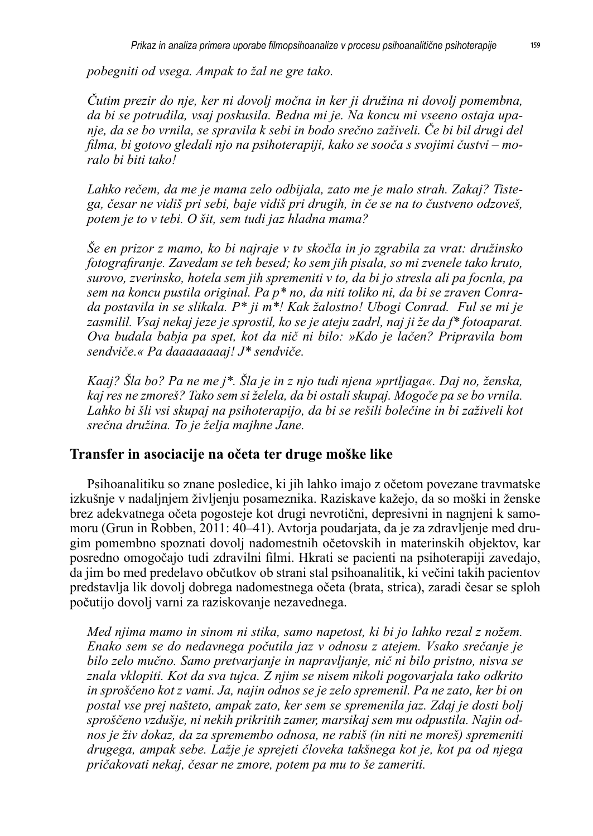*pobegniti od vsega. Ampak to žal ne gre tako.* 

*Čutim prezir do nje, ker ni dovolj močna in ker ji družina ni dovolj pomembna, da bi se potrudila, vsaj poskusila. Bedna mi je. Na koncu mi vseeno ostaja upanje, da se bo vrnila, se spravila k sebi in bodo srečno zaživeli. Če bi bil drugi del filma, bi gotovo gledali njo na psihoterapiji, kako se sooča s svojimi čustvi – moralo bi biti tako!*

*Lahko rečem, da me je mama zelo odbijala, zato me je malo strah. Zakaj? Tistega, česar ne vidiš pri sebi, baje vidiš pri drugih, in če se na to čustveno odzoveš, potem je to v tebi. O šit, sem tudi jaz hladna mama?* 

*Še en prizor z mamo, ko bi najraje v tv skočla in jo zgrabila za vrat: družinsko fotografiranje. Zavedam se teh besed; ko sem jih pisala, so mi zvenele tako kruto, surovo, zverinsko, hotela sem jih spremeniti v to, da bi jo stresla ali pa focnla, pa sem na koncu pustila original. Pa p\* no, da niti toliko ni, da bi se zraven Conrada postavila in se slikala. P\* ji m\*! Kak žalostno! Ubogi Conrad. Ful se mi je zasmilil. Vsaj nekaj jeze je sprostil, ko se je ateju zadrl, naj ji že da f\* fotoaparat. Ova budala babja pa spet, kot da nič ni bilo: »Kdo je lačen? Pripravila bom sendviče.« Pa daaaaaaaaj! J\* sendviče.*

*Kaaj? Šla bo? Pa ne me j\*. Šla je in z njo tudi njena »prtljaga«. Daj no, ženska, kaj res ne zmoreš? Tako sem si želela, da bi ostali skupaj. Mogoče pa se bo vrnila. Lahko bi šli vsi skupaj na psihoterapijo, da bi se rešili bolečine in bi zaživeli kot srečna družina. To je želja majhne Jane.*

#### **Transfer in asociacije na očeta ter druge moške like**

Psihoanalitiku so znane posledice, ki jih lahko imajo z očetom povezane travmatske izkušnje v nadaljnjem življenju posameznika. Raziskave kažejo, da so moški in ženske brez adekvatnega očeta pogosteje kot drugi nevrotični, depresivni in nagnjeni k samomoru (Grun in Robben, 2011: 40–41). Avtorja poudarjata, da je za zdravljenje med drugim pomembno spoznati dovolj nadomestnih očetovskih in materinskih objektov, kar posredno omogočajo tudi zdravilni filmi. Hkrati se pacienti na psihoterapiji zavedajo, da jim bo med predelavo občutkov ob strani stal psihoanalitik, ki večini takih pacientov predstavlja lik dovolj dobrega nadomestnega očeta (brata, strica), zaradi česar se sploh počutijo dovolj varni za raziskovanje nezavednega.

*Med njima mamo in sinom ni stika, samo napetost, ki bi jo lahko rezal z nožem. Enako sem se do nedavnega počutila jaz v odnosu z atejem. Vsako srečanje je bilo zelo mučno. Samo pretvarjanje in napravljanje, nič ni bilo pristno, nisva se znala vklopiti. Kot da sva tujca. Z njim se nisem nikoli pogovarjala tako odkrito in sproščeno kot z vami. Ja, najin odnos se je zelo spremenil. Pa ne zato, ker bi on postal vse prej našteto, ampak zato, ker sem se spremenila jaz. Zdaj je dosti bolj sproščeno vzdušje, ni nekih prikritih zamer, marsikaj sem mu odpustila. Najin odnos je živ dokaz, da za spremembo odnosa, ne rabiš (in niti ne moreš) spremeniti drugega, ampak sebe. Lažje je sprejeti človeka takšnega kot je, kot pa od njega pričakovati nekaj, česar ne zmore, potem pa mu to še zameriti.*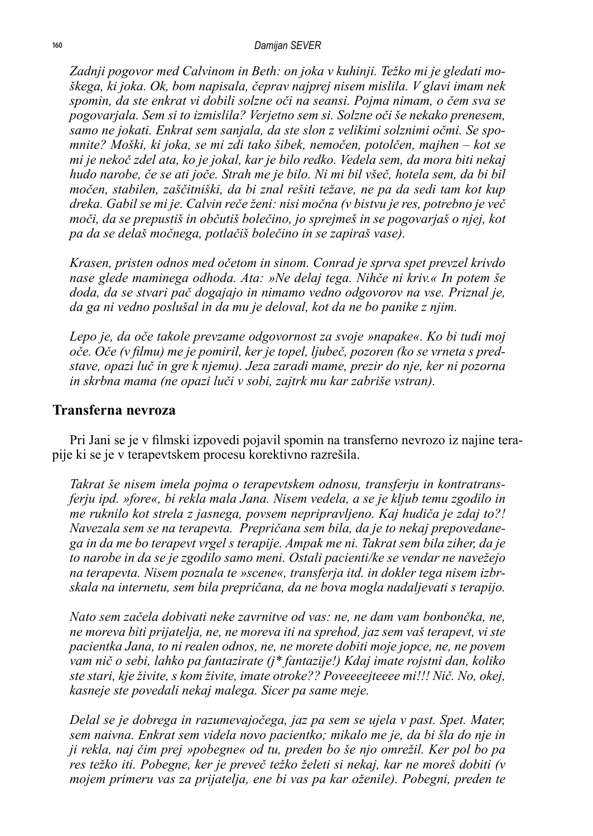*Zadnji pogovor med Calvinom in Beth: on joka v kuhinji. Težko mi je gledati moškega, ki joka. Ok, bom napisala, čeprav najprej nisem mislila. V glavi imam nek spomin, da ste enkrat vi dobili solzne oči na seansi. Pojma nimam, o čem sva se pogovarjala. Sem si to izmislila? Verjetno sem si. Solzne oči še nekako prenesem, samo ne jokati. Enkrat sem sanjala, da ste slon z velikimi solznimi očmi. Se spomnite? Moški, ki joka, se mi zdi tako šibek, nemočen, potolčen, majhen – kot se mi je nekoč zdel ata, ko je jokal, kar je bilo redko. Vedela sem, da mora biti nekaj hudo narobe, če se ati joče. Strah me je bilo. Ni mi bil všeč, hotela sem, da bi bil močen, stabilen, zaščitniški, da bi znal rešiti težave, ne pa da sedi tam kot kup dreka. Gabil se mi je. Calvin reče ženi: nisi močna (v bistvu je res, potrebno je več moči, da se prepustiš in občutiš bolečino, jo sprejmeš in se pogovarjaš o njej, kot pa da se delaš močnega, potlačiš bolečino in se zapiraš vase).*

*Krasen, pristen odnos med očetom in sinom. Conrad je sprva spet prevzel krivdo nase glede maminega odhoda. Ata: »Ne delaj tega. Nihče ni kriv.« In potem še doda, da se stvari pač dogajajo in nimamo vedno odgovorov na vse. Priznal je, da ga ni vedno poslušal in da mu je deloval, kot da ne bo panike z njim.* 

*Lepo je, da oče takole prevzame odgovornost za svoje »napake«. Ko bi tudi moj oče. Oče (v filmu) me je pomiril, ker je topel, ljubeč, pozoren (ko se vrneta s predstave, opazi luč in gre k njemu). Jeza zaradi mame, prezir do nje, ker ni pozorna in skrbna mama (ne opazi luči v sobi, zajtrk mu kar zabriše vstran).*

#### **Transferna nevroza**

Pri Jani se je v filmski izpovedi pojavil spomin na transferno nevrozo iz najine terapije ki se je v terapevtskem procesu korektivno razrešila.

*Takrat še nisem imela pojma o terapevtskem odnosu, transferju in kontratransferju ipd. »fore«, bi rekla mala Jana. Nisem vedela, a se je kljub temu zgodilo in me ruknilo kot strela z jasnega, povsem nepripravljeno. Kaj hudiča je zdaj to?! Navezala sem se na terapevta. Prepričana sem bila, da je to nekaj prepovedanega in da me bo terapevt vrgel s terapije. Ampak me ni. Takrat sem bila ziher, da je to narobe in da se je zgodilo samo meni. Ostali pacienti/ke se vendar ne navežejo na terapevta. Nisem poznala te »scene«, transferja itd. in dokler tega nisem izbrskala na internetu, sem bila prepričana, da ne bova mogla nadaljevati s terapijo.*

*Nato sem začela dobivati neke zavrnitve od vas: ne, ne dam vam bonbončka, ne, ne moreva biti prijatelja, ne, ne moreva iti na sprehod, jaz sem vaš terapevt, vi ste pacientka Jana, to ni realen odnos, ne, ne morete dobiti moje jopce, ne, ne povem vam nič o sebi, lahko pa fantazirate (j\* fantazije!) Kdaj imate rojstni dan, koliko ste stari, kje živite, s kom živite, imate otroke?? Poveeeejteeee mi!!! Nič. No, okej, kasneje ste povedali nekaj malega. Sicer pa same meje.*

*Delal se je dobrega in razumevajočega, jaz pa sem se ujela v past. Spet. Mater, sem naivna. Enkrat sem videla novo pacientko; mikalo me je, da bi šla do nje in ji rekla, naj čim prej »pobegne« od tu, preden bo še njo omrežil. Ker pol bo pa res težko iti. Pobegne, ker je preveč težko želeti si nekaj, kar ne moreš dobiti (v mojem primeru vas za prijatelja, ene bi vas pa kar oženile). Pobegni, preden te*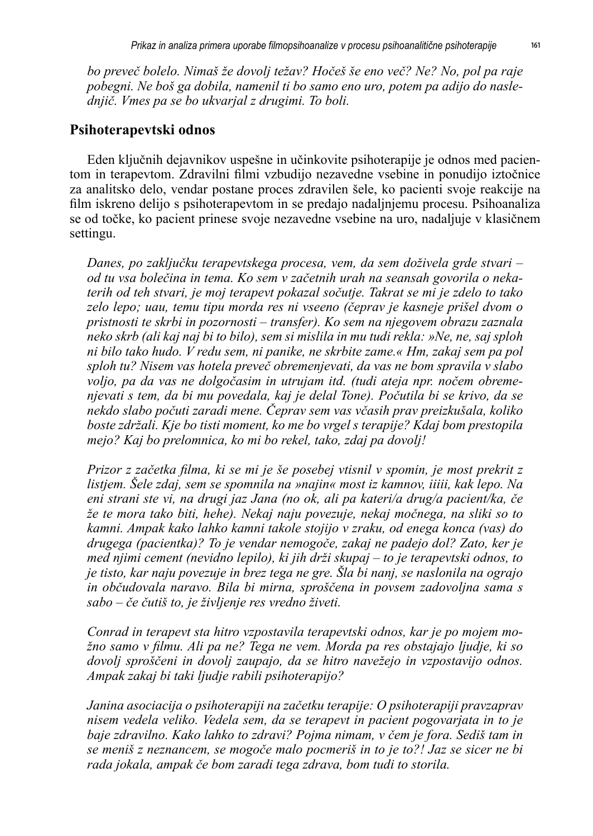*bo preveč bolelo. Nimaš že dovolj težav? Hočeš še eno več? Ne? No, pol pa raje pobegni. Ne boš ga dobila, namenil ti bo samo eno uro, potem pa adijo do naslednjič. Vmes pa se bo ukvarjal z drugimi. To boli.*

#### **Psihoterapevtski odnos**

Eden ključnih dejavnikov uspešne in učinkovite psihoterapije je odnos med pacientom in terapevtom. Zdravilni filmi vzbudijo nezavedne vsebine in ponudijo iztočnice za analitsko delo, vendar postane proces zdravilen šele, ko pacienti svoje reakcije na film iskreno delijo s psihoterapevtom in se predajo nadaljnjemu procesu. Psihoanaliza se od točke, ko pacient prinese svoje nezavedne vsebine na uro, nadaljuje v klasičnem settingu.

*Danes, po zaključku terapevtskega procesa, vem, da sem doživela grde stvari – od tu vsa bolečina in tema. Ko sem v začetnih urah na seansah govorila o nekaterih od teh stvari, je moj terapevt pokazal sočutje. Takrat se mi je zdelo to tako*  zelo lepo; uau, temu tipu morda res ni vseeno (čeprav je kasneje prišel dvom o *pristnosti te skrbi in pozornosti – transfer). Ko sem na njegovem obrazu zaznala neko skrb (ali kaj naj bi to bilo), sem si mislila in mu tudi rekla: »Ne, ne, saj sploh ni bilo tako hudo. V redu sem, ni panike, ne skrbite zame.« Hm, zakaj sem pa pol sploh tu? Nisem vas hotela preveč obremenjevati, da vas ne bom spravila v slabo voljo, pa da vas ne dolgočasim in utrujam itd. (tudi ateja npr. nočem obremenjevati s tem, da bi mu povedala, kaj je delal Tone). Počutila bi se krivo, da se nekdo slabo počuti zaradi mene. Čeprav sem vas včasih prav preizkušala, koliko boste zdržali. Kje bo tisti moment, ko me bo vrgel s terapije? Kdaj bom prestopila mejo? Kaj bo prelomnica, ko mi bo rekel, tako, zdaj pa dovolj!* 

*Prizor z začetka filma, ki se mi je še posebej vtisnil v spomin, je most prekrit z listjem. Šele zdaj, sem se spomnila na »najin« most iz kamnov, iiiii, kak lepo. Na eni strani ste vi, na drugi jaz Jana (no ok, ali pa kateri/a drug/a pacient/ka, če že te mora tako biti, hehe). Nekaj naju povezuje, nekaj močnega, na sliki so to kamni. Ampak kako lahko kamni takole stojijo v zraku, od enega konca (vas) do drugega (pacientka)? To je vendar nemogoče, zakaj ne padejo dol? Zato, ker je med njimi cement (nevidno lepilo), ki jih drži skupaj – to je terapevtski odnos, to je tisto, kar naju povezuje in brez tega ne gre. Šla bi nanj, se naslonila na ograjo in občudovala naravo. Bila bi mirna, sproščena in povsem zadovoljna sama s sabo – če čutiš to, je življenje res vredno živeti.*

*Conrad in terapevt sta hitro vzpostavila terapevtski odnos, kar je po mojem možno samo v filmu. Ali pa ne? Tega ne vem. Morda pa res obstajajo ljudje, ki so dovolj sproščeni in dovolj zaupajo, da se hitro navežejo in vzpostavijo odnos. Ampak zakaj bi taki ljudje rabili psihoterapijo?*

*Janina asociacija o psihoterapiji na začetku terapije: O psihoterapiji pravzaprav nisem vedela veliko. Vedela sem, da se terapevt in pacient pogovarjata in to je baje zdravilno. Kako lahko to zdravi? Pojma nimam, v čem je fora. Sediš tam in se meniš z neznancem, se mogoče malo pocmeriš in to je to?! Jaz se sicer ne bi rada jokala, ampak če bom zaradi tega zdrava, bom tudi to storila.*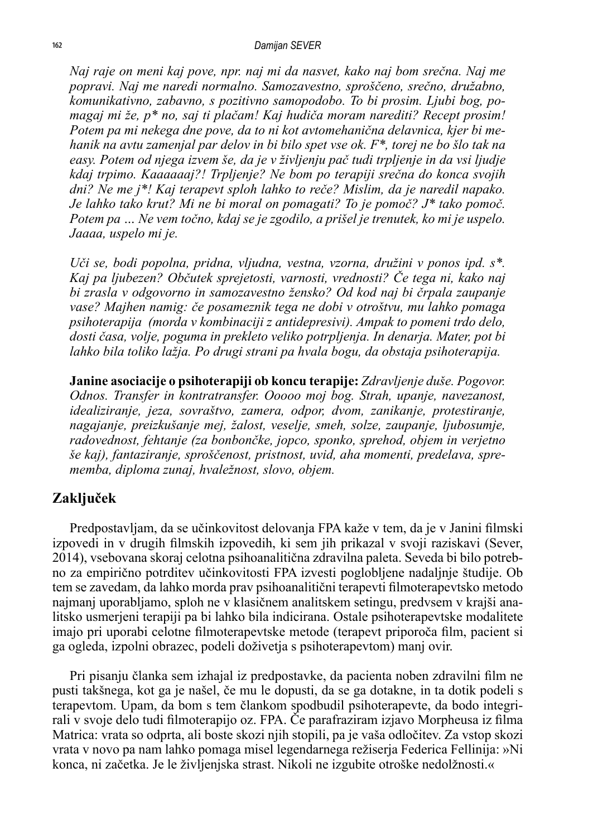#### *Damijan SEVER*

*Naj raje on meni kaj pove, npr. naj mi da nasvet, kako naj bom srečna. Naj me popravi. Naj me naredi normalno. Samozavestno, sproščeno, srečno, družabno, komunikativno, zabavno, s pozitivno samopodobo. To bi prosim. Ljubi bog, pomagaj mi že, p\* no, saj ti plačam! Kaj hudiča moram narediti? Recept prosim! Potem pa mi nekega dne pove, da to ni kot avtomehanična delavnica, kjer bi mehanik na avtu zamenjal par delov in bi bilo spet vse ok. F\*, torej ne bo šlo tak na easy. Potem od njega izvem še, da je v življenju pač tudi trpljenje in da vsi ljudje kdaj trpimo. Kaaaaaaj?! Trpljenje? Ne bom po terapiji srečna do konca svojih dni? Ne me j\*! Kaj terapevt sploh lahko to reče? Mislim, da je naredil napako. Je lahko tako krut? Mi ne bi moral on pomagati? To je pomoč? J\* tako pomoč. Potem pa … Ne vem točno, kdaj se je zgodilo, a prišel je trenutek, ko mi je uspelo. Jaaaa, uspelo mi je.*

*Uči se, bodi popolna, pridna, vljudna, vestna, vzorna, družini v ponos ipd. s\*. Kaj pa ljubezen? Občutek sprejetosti, varnosti, vrednosti? Če tega ni, kako naj bi zrasla v odgovorno in samozavestno žensko? Od kod naj bi črpala zaupanje vase? Majhen namig: če posameznik tega ne dobi v otroštvu, mu lahko pomaga psihoterapija (morda v kombinaciji z antidepresivi). Ampak to pomeni trdo delo, dosti časa, volje, poguma in prekleto veliko potrpljenja. In denarja. Mater, pot bi lahko bila toliko lažja. Po drugi strani pa hvala bogu, da obstaja psihoterapija.*

**Janine asociacije o psihoterapiji ob koncu terapije:** *Zdravljenje duše. Pogovor. Odnos. Transfer in kontratransfer. Ooooo moj bog. Strah, upanje, navezanost, idealiziranje, jeza, sovraštvo, zamera, odpor, dvom, zanikanje, protestiranje, nagajanje, preizkušanje mej, žalost, veselje, smeh, solze, zaupanje, ljubosumje, radovednost, fehtanje (za bonbončke, jopco, sponko, sprehod, objem in verjetno še kaj), fantaziranje, sproščenost, pristnost, uvid, aha momenti, predelava, sprememba, diploma zunaj, hvaležnost, slovo, objem.*

#### **Zaključek**

Predpostavljam, da se učinkovitost delovanja FPA kaže v tem, da je v Janini filmski izpovedi in v drugih filmskih izpovedih, ki sem jih prikazal v svoji raziskavi (Sever, 2014), vsebovana skoraj celotna psihoanalitična zdravilna paleta. Seveda bi bilo potrebno za empirično potrditev učinkovitosti FPA izvesti poglobljene nadaljnje študije. Ob tem se zavedam, da lahko morda prav psihoanalitični terapevti filmoterapevtsko metodo najmanj uporabljamo, sploh ne v klasičnem analitskem setingu, predvsem v krajši analitsko usmerjeni terapiji pa bi lahko bila indicirana. Ostale psihoterapevtske modalitete imajo pri uporabi celotne filmoterapevtske metode (terapevt priporoča film, pacient si ga ogleda, izpolni obrazec, podeli doživetja s psihoterapevtom) manj ovir.

Pri pisanju članka sem izhajal iz predpostavke, da pacienta noben zdravilni film ne pusti takšnega, kot ga je našel, če mu le dopusti, da se ga dotakne, in ta dotik podeli s terapevtom. Upam, da bom s tem člankom spodbudil psihoterapevte, da bodo integrirali v svoje delo tudi filmoterapijo oz. FPA. Če parafraziram izjavo Morpheusa iz filma Matrica: vrata so odprta, ali boste skozi njih stopili, pa je vaša odločitev. Za vstop skozi vrata v novo pa nam lahko pomaga misel legendarnega režiserja Federica Fellinija: »Ni konca, ni začetka. Je le življenjska strast. Nikoli ne izgubite otroške nedolžnosti.«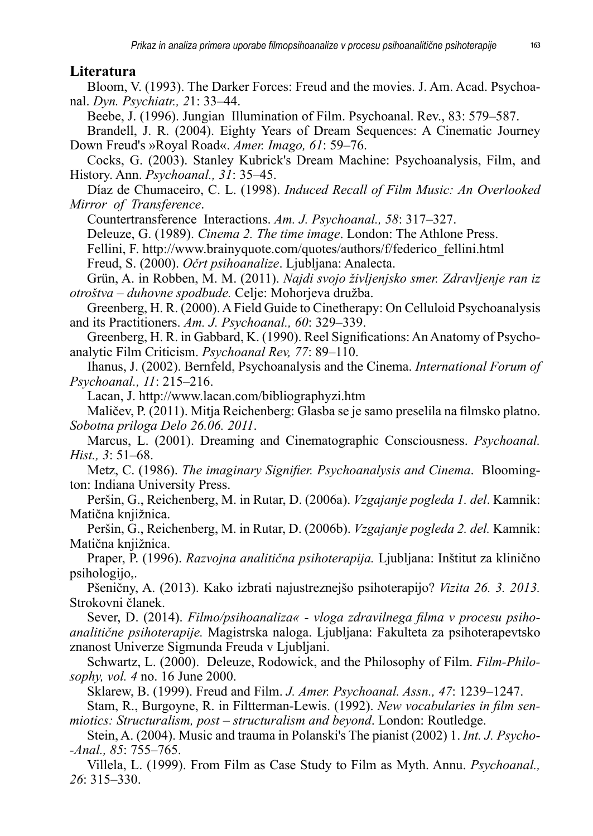#### **Literatura**

Bloom, V. (1993). The Darker Forces: Freud and the movies. J. Am. Acad. Psychoanal. *Dyn. Psychiatr., 2*1: 33–44.

Beebe, J. (1996). Jungian Illumination of Film. Psychoanal. Rev., 83: 579–587.

Brandell, J. R. (2004). Eighty Years of Dream Sequences: A Cinematic Journey Down Freud's »Royal Road«. *Amer. Imago, 61*: 59–76.

Cocks, G. (2003). Stanley Kubrick's Dream Machine: Psychoanalysis, Film, and History. Ann. *Psychoanal., 31*: 35–45.

Díaz de Chumaceiro, C. L. (1998). *Induced Recall of Film Music: An Overlooked Mirror of Transference*.

Countertransference Interactions. *Am. J. Psychoanal., 58*: 317–327.

Deleuze, G. (1989). *Cinema 2. The time image*. London: The Athlone Press.

Fellini, F. http://www.brainyquote.com/quotes/authors/f/federico\_fellini.html Freud, S. (2000). *Očrt psihoanalize*. Ljubljana: Analecta.

Grün, A. in Robben, M. M. (2011). *Najdi svojo življenjsko smer. Zdravljenje ran iz otroštva – duhovne spodbude.* Celje: Mohorjeva družba.

Greenberg, H. R. (2000). A Field Guide to Cinetherapy: On Celluloid Psychoanalysis and its Practitioners. *Am. J. Psychoanal., 60*: 329–339.

Greenberg, H. R. in Gabbard, K. (1990). Reel Significations: An Anatomy of Psychoanalytic Film Criticism. *Psychoanal Rev, 77*: 89–110.

Ihanus, J. (2002). Bernfeld, Psychoanalysis and the Cinema. *International Forum of Psychoanal., 11*: 215–216.

Lacan, J. http://www.lacan.com/bibliographyzi.htm

Maličev, P. (2011). Mitja Reichenberg: Glasba se je samo preselila na filmsko platno. *Sobotna priloga Delo 26.06. 2011*.

Marcus, L. (2001). Dreaming and Cinematographic Consciousness. *Psychoanal. Hist., 3*: 51–68.

Metz, C. (1986). *The imaginary Signifier. Psychoanalysis and Cinema*. Bloomington: Indiana University Press.

Peršin, G., Reichenberg, M. in Rutar, D. (2006a). *Vzgajanje pogleda 1. del*. Kamnik: Matična knjižnica.

Peršin, G., Reichenberg, M. in Rutar, D. (2006b). *Vzgajanje pogleda 2. del.* Kamnik: Matična knjižnica.

Praper, P. (1996). *Razvojna analitična psihoterapija.* Ljubljana: Inštitut za klinično psihologijo,.

Pšeničny, A. (2013). Kako izbrati najustreznejšo psihoterapijo? *Vizita 26. 3. 2013.*  Strokovni članek.

Sever, D. (2014). *Filmo/psihoanaliza« - vloga zdravilnega filma v procesu psihoanalitične psihoterapije.* Magistrska naloga. Ljubljana: Fakulteta za psihoterapevtsko znanost Univerze Sigmunda Freuda v Ljubljani.

Schwartz, L. (2000). Deleuze, Rodowick, and the Philosophy of Film. *Film-Philosophy, vol. 4* no. 16 June 2000.

Sklarew, B. (1999). Freud and Film. *J. Amer. Psychoanal. Assn., 47*: 1239–1247.

Stam, R., Burgoyne, R. in Filtterman-Lewis. (1992). *New vocabularies in film senmiotics: Structuralism, post – structuralism and beyond*. London: Routledge.

Stein, A. (2004). Music and trauma in Polanski's The pianist (2002) 1. *Int. J. Psycho- -Anal., 85*: 755–765.

Villela, L. (1999). From Film as Case Study to Film as Myth. Annu. *Psychoanal., 26*: 315–330.